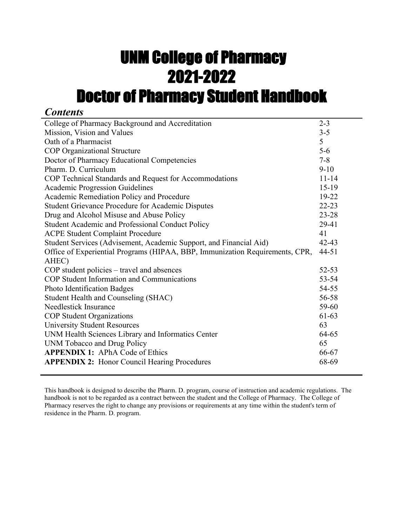# **UNM College of Pharmacy** 2021-2022

# Doctor of Pharmacy Student Handbook

### *Contents* College of Pharmacy Background and Accreditation 2-3 Mission, Vision and Values 3-5 Oath of a Pharmacist 5 COP Organizational Structure 5-6 Doctor of Pharmacy Educational Competencies 7-8 Pharm. D. Curriculum 9-10 COP Technical Standards and Request for Accommodations 11-14 Academic Progression Guidelines 15-19 Academic Remediation Policy and Procedure 19-22 Student Grievance Procedure for Academic Disputes 22-23 Drug and Alcohol Misuse and Abuse Policy 23-28 Student Academic and Professional Conduct Policy 29-41 ACPE Student Complaint Procedure 41 Student Services (Advisement, Academic Support, and Financial Aid) 42-43 Office of Experiential Programs (HIPAA, BBP, Immunization Requirements, CPR, 44-51 AHEC) COP student policies – travel and absences 52-53 COP Student Information and Communications 53-54 Photo Identification Badges 54-55 Student Health and Counseling (SHAC) 56-58 Needlestick Insurance 59-60 COP Student Organizations 61-63 University Student Resources 63 UNM Health Sciences Library and Informatics Center 64-65 UNM Tobacco and Drug Policy 65 **APPENDIX 1:** APhA Code of Ethics 66-67 **APPENDIX 2:** Honor Council Hearing Procedures 68-69

This handbook is designed to describe the Pharm. D. program, course of instruction and academic regulations. The handbook is not to be regarded as a contract between the student and the College of Pharmacy. The College of Pharmacy reserves the right to change any provisions or requirements at any time within the student's term of residence in the Pharm. D. program.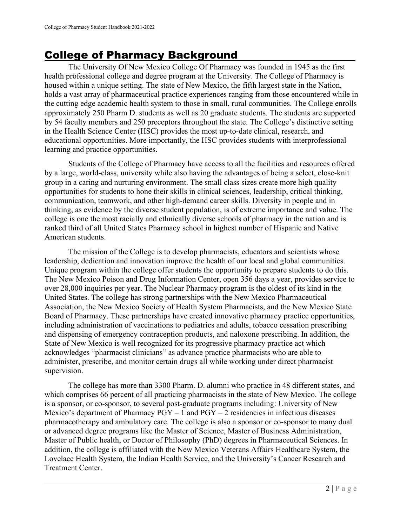# College of Pharmacy Background

The University Of New Mexico College Of Pharmacy was founded in 1945 as the first health professional college and degree program at the University. The College of Pharmacy is housed within a unique setting. The state of New Mexico, the fifth largest state in the Nation, holds a vast array of pharmaceutical practice experiences ranging from those encountered while in the cutting edge academic health system to those in small, rural communities. The College enrolls approximately 250 Pharm D. students as well as 20 graduate students. The students are supported by 54 faculty members and 250 preceptors throughout the state. The College's distinctive setting in the Health Science Center (HSC) provides the most up-to-date clinical, research, and educational opportunities. More importantly, the HSC provides students with interprofessional learning and practice opportunities.

Students of the College of Pharmacy have access to all the facilities and resources offered by a large, world-class, university while also having the advantages of being a select, close-knit group in a caring and nurturing environment. The small class sizes create more high quality opportunities for students to hone their skills in clinical sciences, leadership, critical thinking, communication, teamwork, and other high-demand career skills. Diversity in people and in thinking, as evidence by the diverse student population, is of extreme importance and value. The college is one the most racially and ethnically diverse schools of pharmacy in the nation and is ranked third of all United States Pharmacy school in highest number of Hispanic and Native American students.

The mission of the College is to develop pharmacists, educators and scientists whose leadership, dedication and innovation improve the health of our local and global communities. Unique program within the college offer students the opportunity to prepare students to do this. The New Mexico Poison and Drug Information Center, open 356 days a year, provides service to over 28,000 inquiries per year. The Nuclear Pharmacy program is the oldest of its kind in the United States. The college has strong partnerships with the New Mexico Pharmaceutical Association, the New Mexico Society of Health System Pharmacists, and the New Mexico State Board of Pharmacy. These partnerships have created innovative pharmacy practice opportunities, including administration of vaccinations to pediatrics and adults, tobacco cessation prescribing and dispensing of emergency contraception products, and naloxone prescribing. In addition, the State of New Mexico is well recognized for its progressive pharmacy practice act which acknowledges "pharmacist clinicians" as advance practice pharmacists who are able to administer, prescribe, and monitor certain drugs all while working under direct pharmacist supervision.

The college has more than 3300 Pharm. D. alumni who practice in 48 different states, and which comprises 66 percent of all practicing pharmacists in the state of New Mexico. The college is a sponsor, or co-sponsor, to several post-graduate programs including: University of New Mexico's department of Pharmacy  $PGY - 1$  and  $PGY - 2$  residencies in infectious diseases pharmacotherapy and ambulatory care. The college is also a sponsor or co-sponsor to many dual or advanced degree programs like the Master of Science, Master of Business Administration, Master of Public health, or Doctor of Philosophy (PhD) degrees in Pharmaceutical Sciences. In addition, the college is affiliated with the New Mexico Veterans Affairs Healthcare System, the Lovelace Health System, the Indian Health Service, and the University's Cancer Research and Treatment Center.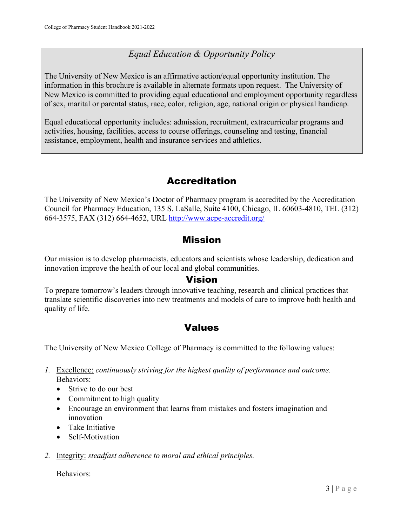# *Equal Education & Opportunity Policy*

The University of New Mexico is an affirmative action/equal opportunity institution. The information in this brochure is available in alternate formats upon request. The University of New Mexico is committed to providing equal educational and employment opportunity regardless of sex, marital or parental status, race, color, religion, age, national origin or physical handicap.

Equal educational opportunity includes: admission, recruitment, extracurricular programs and activities, housing, facilities, access to course offerings, counseling and testing, financial assistance, employment, health and insurance services and athletics.

# Accreditation

The University of New Mexico's Doctor of Pharmacy program is accredited by the Accreditation Council for Pharmacy Education, 135 S. LaSalle, Suite 4100, Chicago, IL 60603-4810, TEL (312) 664-3575, FAX (312) 664-4652, URL<http://www.acpe-accredit.org/>

# Mission

Our mission is to develop pharmacists, educators and scientists whose leadership, dedication and innovation improve the health of our local and global communities.

# Vision

To prepare tomorrow's leaders through innovative teaching, research and clinical practices that translate scientific discoveries into new treatments and models of care to improve both health and quality of life.

# Values

The University of New Mexico College of Pharmacy is committed to the following values:

- *1.* Excellence: *continuously striving for the highest quality of performance and outcome.* Behaviors:
	- Strive to do our best
	- Commitment to high quality
	- Encourage an environment that learns from mistakes and fosters imagination and innovation
	- Take Initiative
	- Self-Motivation
- *2.* Integrity: *steadfast adherence to moral and ethical principles.*

Behaviors: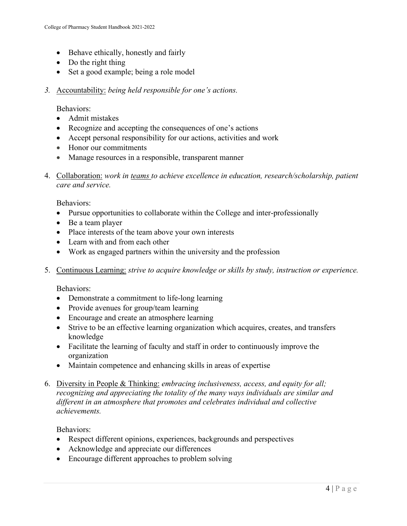- Behave ethically, honestly and fairly
- Do the right thing
- Set a good example; being a role model
- *3.* Accountability: *being held responsible for one's actions.*

Behaviors:

- Admit mistakes
- Recognize and accepting the consequences of one's actions
- Accept personal responsibility for our actions, activities and work
- Honor our commitments
- Manage resources in a responsible, transparent manner
- 4. Collaboration: *work in teams to achieve excellence in education, research/scholarship, patient care and service.*

Behaviors:

- Pursue opportunities to collaborate within the College and inter-professionally
- Be a team player
- Place interests of the team above your own interests
- Learn with and from each other
- Work as engaged partners within the university and the profession
- 5. Continuous Learning: *strive to acquire knowledge or skills by study, instruction or experience.*

Behaviors:

- Demonstrate a commitment to life-long learning
- Provide avenues for group/team learning
- Encourage and create an atmosphere learning
- Strive to be an effective learning organization which acquires, creates, and transfers knowledge
- Facilitate the learning of faculty and staff in order to continuously improve the organization
- Maintain competence and enhancing skills in areas of expertise
- 6. Diversity in People & Thinking: *embracing inclusiveness, access, and equity for all; recognizing and appreciating the totality of the many ways individuals are similar and different in an atmosphere that promotes and celebrates individual and collective achievements.*

Behaviors:

- Respect different opinions, experiences, backgrounds and perspectives
- Acknowledge and appreciate our differences
- Encourage different approaches to problem solving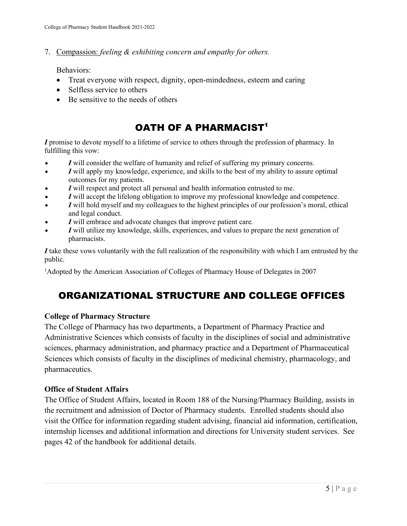7. Compassion: *feeling & exhibiting concern and empathy for others.*

#### Behaviors:

- Treat everyone with respect, dignity, open-mindedness, esteem and caring
- Selfless service to others
- Be sensitive to the needs of others

# OATH OF A PHARMACIST<sup>1</sup>

*I* promise to devote myself to a lifetime of service to others through the profession of pharmacy. In fulfilling this vow:

- *I* will consider the welfare of humanity and relief of suffering my primary concerns.
- I will apply my knowledge, experience, and skills to the best of my ability to assure optimal outcomes for my patients.
- I will respect and protect all personal and health information entrusted to me.
- *I* will accept the lifelong obligation to improve my professional knowledge and competence.
- *I* will hold myself and my colleagues to the highest principles of our profession's moral, ethical and legal conduct.
- I will embrace and advocate changes that improve patient care.
- I will utilize my knowledge, skills, experiences, and values to prepare the next generation of pharmacists.

*I* take these vows voluntarily with the full realization of the responsibility with which I am entrusted by the public.

<sup>1</sup>Adopted by the American Association of Colleges of Pharmacy House of Delegates in 2007

# ORGANIZATIONAL STRUCTURE AND COLLEGE OFFICES

# **College of Pharmacy Structure**

The College of Pharmacy has two departments, a Department of Pharmacy Practice and Administrative Sciences which consists of faculty in the disciplines of social and administrative sciences, pharmacy administration, and pharmacy practice and a Department of Pharmaceutical Sciences which consists of faculty in the disciplines of medicinal chemistry, pharmacology, and pharmaceutics.

# **Office of Student Affairs**

The Office of Student Affairs, located in Room 188 of the Nursing/Pharmacy Building, assists in the recruitment and admission of Doctor of Pharmacy students. Enrolled students should also visit the Office for information regarding student advising, financial aid information, certification, internship licenses and additional information and directions for University student services. See pages 42 of the handbook for additional details.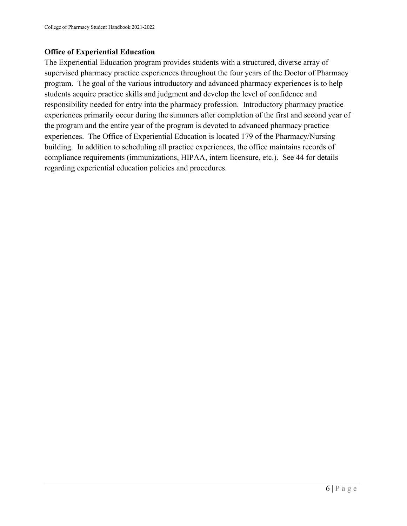#### **Office of Experiential Education**

The Experiential Education program provides students with a structured, diverse array of supervised pharmacy practice experiences throughout the four years of the Doctor of Pharmacy program. The goal of the various introductory and advanced pharmacy experiences is to help students acquire practice skills and judgment and develop the level of confidence and responsibility needed for entry into the pharmacy profession. Introductory pharmacy practice experiences primarily occur during the summers after completion of the first and second year of the program and the entire year of the program is devoted to advanced pharmacy practice experiences. The Office of Experiential Education is located 179 of the Pharmacy/Nursing building. In addition to scheduling all practice experiences, the office maintains records of compliance requirements (immunizations, HIPAA, intern licensure, etc.). See 44 for details regarding experiential education policies and procedures.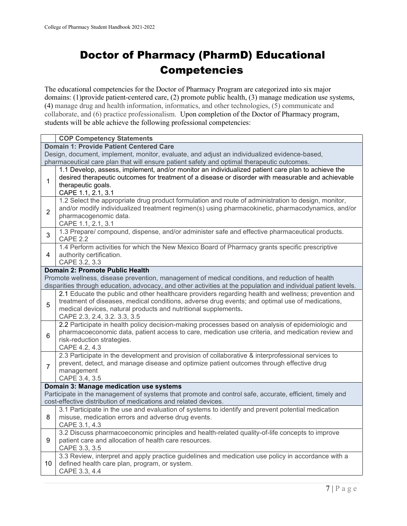# Doctor of Pharmacy (PharmD) Educational **Competencies**

The educational competencies for the Doctor of Pharmacy Program are categorized into six major domains: (1)provide patient-centered care, (2) promote public health, (3) manage medication use systems, (4) manage drug and health information, informatics, and other technologies, (5) communicate and collaborate, and (6) practice professionalism. Upon completion of the Doctor of Pharmacy program, students will be able achieve the following professional competencies:

|                                                                                              | <b>COP Competency Statements</b>                                                                                                                                                                                                  |  |  |  |  |
|----------------------------------------------------------------------------------------------|-----------------------------------------------------------------------------------------------------------------------------------------------------------------------------------------------------------------------------------|--|--|--|--|
|                                                                                              | <b>Domain 1: Provide Patient Centered Care</b>                                                                                                                                                                                    |  |  |  |  |
| Design, document, implement, monitor, evaluate, and adjust an individualized evidence-based, |                                                                                                                                                                                                                                   |  |  |  |  |
| pharmaceutical care plan that will ensure patient safety and optimal therapeutic outcomes.   |                                                                                                                                                                                                                                   |  |  |  |  |
| $\mathbf{1}$                                                                                 | 1.1 Develop, assess, implement, and/or monitor an individualized patient care plan to achieve the<br>desired therapeutic outcomes for treatment of a disease or disorder with measurable and achievable                           |  |  |  |  |
|                                                                                              | therapeutic goals.<br>CAPE 1.1, 2.1, 3.1                                                                                                                                                                                          |  |  |  |  |
| $\overline{2}$                                                                               | 1.2 Select the appropriate drug product formulation and route of administration to design, monitor,<br>and/or modify individualized treatment regimen(s) using pharmacokinetic, pharmacodynamics, and/or<br>pharmacogenomic data. |  |  |  |  |
|                                                                                              | CAPE 1.1, 2.1, 3.1                                                                                                                                                                                                                |  |  |  |  |
| 3                                                                                            | 1.3 Prepare/ compound, dispense, and/or administer safe and effective pharmaceutical products.<br><b>CAPE 2.2</b>                                                                                                                 |  |  |  |  |
| 4                                                                                            | 1.4 Perform activities for which the New Mexico Board of Pharmacy grants specific prescriptive<br>authority certification.                                                                                                        |  |  |  |  |
|                                                                                              | CAPE 3.2, 3.3                                                                                                                                                                                                                     |  |  |  |  |
|                                                                                              | Domain 2: Promote Public Health                                                                                                                                                                                                   |  |  |  |  |
|                                                                                              | Promote wellness, disease prevention, management of medical conditions, and reduction of health                                                                                                                                   |  |  |  |  |
|                                                                                              | disparities through education, advocacy, and other activities at the population and individual patient levels.                                                                                                                    |  |  |  |  |
|                                                                                              | 2.1 Educate the public and other healthcare providers regarding health and wellness; prevention and                                                                                                                               |  |  |  |  |
| 5                                                                                            | treatment of diseases, medical conditions, adverse drug events; and optimal use of medications,                                                                                                                                   |  |  |  |  |
|                                                                                              | medical devices, natural products and nutritional supplements.                                                                                                                                                                    |  |  |  |  |
|                                                                                              | CAPE 2.3, 2.4, 3.2. 3.3, 3.5                                                                                                                                                                                                      |  |  |  |  |
|                                                                                              | 2.2 Participate in health policy decision-making processes based on analysis of epidemiologic and<br>pharmacoeconomic data, patient access to care, medication use criteria, and medication review and                            |  |  |  |  |
| 6                                                                                            | risk-reduction strategies.                                                                                                                                                                                                        |  |  |  |  |
|                                                                                              | CAPE 4.2, 4.3                                                                                                                                                                                                                     |  |  |  |  |
|                                                                                              | 2.3 Participate in the development and provision of collaborative & interprofessional services to                                                                                                                                 |  |  |  |  |
| $\overline{7}$                                                                               | prevent, detect, and manage disease and optimize patient outcomes through effective drug                                                                                                                                          |  |  |  |  |
|                                                                                              | management                                                                                                                                                                                                                        |  |  |  |  |
|                                                                                              | CAPE 3.4, 3.5                                                                                                                                                                                                                     |  |  |  |  |
|                                                                                              | Domain 3: Manage medication use systems                                                                                                                                                                                           |  |  |  |  |
|                                                                                              | Participate in the management of systems that promote and control safe, accurate, efficient, timely and                                                                                                                           |  |  |  |  |
| cost-effective distribution of medications and related devices.                              |                                                                                                                                                                                                                                   |  |  |  |  |
| 8                                                                                            | 3.1 Participate in the use and evaluation of systems to identify and prevent potential medication                                                                                                                                 |  |  |  |  |
|                                                                                              | misuse, medication errors and adverse drug events.<br>CAPE 3.1, 4.3                                                                                                                                                               |  |  |  |  |
|                                                                                              | 3.2 Discuss pharmacoeconomic principles and health-related quality-of-life concepts to improve                                                                                                                                    |  |  |  |  |
| 9                                                                                            | patient care and allocation of health care resources.                                                                                                                                                                             |  |  |  |  |
|                                                                                              | CAPE 3.3, 3.5<br>3.3 Review, interpret and apply practice guidelines and medication use policy in accordance with a                                                                                                               |  |  |  |  |
| 10                                                                                           | defined health care plan, program, or system.                                                                                                                                                                                     |  |  |  |  |
|                                                                                              | CAPE 3.3, 4.4                                                                                                                                                                                                                     |  |  |  |  |
|                                                                                              |                                                                                                                                                                                                                                   |  |  |  |  |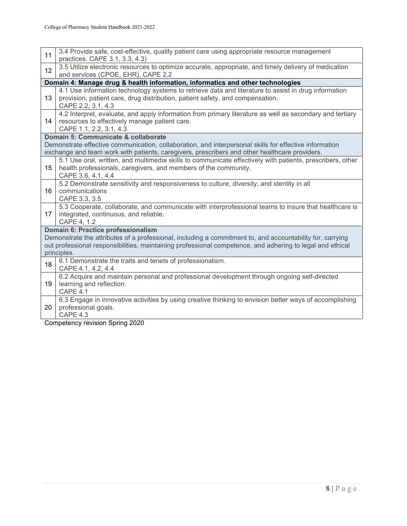| 11                                                                                                        | 3.4 Provide safe, cost-effective, quality patient care using appropriate resource management<br>practices. CAPE 3.1, 3.3, 4.3)                                                                              |  |  |  |  |  |  |
|-----------------------------------------------------------------------------------------------------------|-------------------------------------------------------------------------------------------------------------------------------------------------------------------------------------------------------------|--|--|--|--|--|--|
| 12                                                                                                        | 3.5 Utilize electronic resources to optimize accurate, appropriate, and timely delivery of medication<br>and services (CPOE, EHR). CAPE 2.2                                                                 |  |  |  |  |  |  |
|                                                                                                           | Domain 4: Manage drug & health information, informatics and other technologies                                                                                                                              |  |  |  |  |  |  |
| 13                                                                                                        | 4.1 Use information technology systems to retrieve data and literature to assist in drug information<br>provision, patient care, drug distribution, patient safety, and compensation.<br>CAPE 2.2, 3.1, 4.3 |  |  |  |  |  |  |
| 14                                                                                                        | 4.2 Interpret, evaluate, and apply information from primary literature as well as secondary and tertiary<br>resources to effectively manage patient care.<br>CAPE 1.1, 2.2, 3.1, 4.3                        |  |  |  |  |  |  |
|                                                                                                           | Domain 5: Communicate & collaborate                                                                                                                                                                         |  |  |  |  |  |  |
|                                                                                                           | Demonstrate effective communication, collaboration, and interpersonal skills for effective information                                                                                                      |  |  |  |  |  |  |
|                                                                                                           | exchange and team work with patients, caregivers, prescribers and other healthcare providers.                                                                                                               |  |  |  |  |  |  |
|                                                                                                           | 5.1 Use oral, written, and multimedia skills to communicate effectively with patients, prescribers, other                                                                                                   |  |  |  |  |  |  |
| 15                                                                                                        | health professionals, caregivers, and members of the community.<br>CAPE 3.6, 4.1, 4.4                                                                                                                       |  |  |  |  |  |  |
|                                                                                                           | 5.2 Demonstrate sensitivity and responsiveness to culture, diversity, and identity in all                                                                                                                   |  |  |  |  |  |  |
| 16                                                                                                        | communications                                                                                                                                                                                              |  |  |  |  |  |  |
|                                                                                                           | CAPE 3.3, 3.5                                                                                                                                                                                               |  |  |  |  |  |  |
| 17                                                                                                        | 5.3 Cooperate, collaborate, and communicate with interprofessional teams to insure that healthcare is<br>integrated, continuous, and reliable.                                                              |  |  |  |  |  |  |
|                                                                                                           | CAPE 4, 1.2                                                                                                                                                                                                 |  |  |  |  |  |  |
|                                                                                                           | Domain 6: Practice professionalism                                                                                                                                                                          |  |  |  |  |  |  |
|                                                                                                           | Demonstrate the attributes of a professional, including a commitment to, and accountability for, carrying                                                                                                   |  |  |  |  |  |  |
| out professional responsibilities, maintaining professional competence, and adhering to legal and ethical |                                                                                                                                                                                                             |  |  |  |  |  |  |
| principles.                                                                                               |                                                                                                                                                                                                             |  |  |  |  |  |  |
| 18                                                                                                        | 6.1 Demonstrate the traits and tenets of professionalism.<br>CAPE 4.1, 4.2, 4.4                                                                                                                             |  |  |  |  |  |  |
|                                                                                                           | 6.2 Acquire and maintain personal and professional development through ongoing self-directed                                                                                                                |  |  |  |  |  |  |
| 19                                                                                                        | learning and reflection.                                                                                                                                                                                    |  |  |  |  |  |  |
|                                                                                                           | CAPE 4.1                                                                                                                                                                                                    |  |  |  |  |  |  |
|                                                                                                           | 6.3 Engage in innovative activities by using creative thinking to envision better ways of accomplishing                                                                                                     |  |  |  |  |  |  |
| 20                                                                                                        | professional goals.                                                                                                                                                                                         |  |  |  |  |  |  |
|                                                                                                           | CAPE 4.3<br>Compatency revision Paring 2020                                                                                                                                                                 |  |  |  |  |  |  |

Competency revision Spring 2020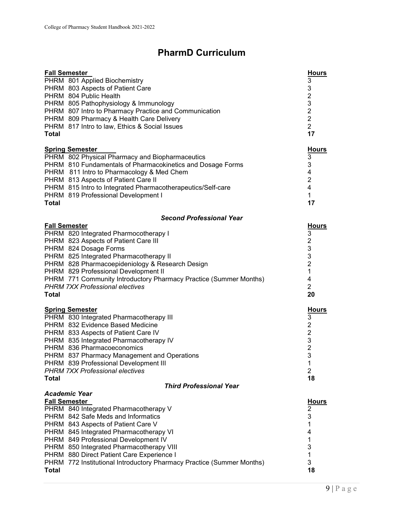# **PharmD Curriculum**

| 3<br>$\overline{2}$<br>$\overline{2}$<br>$\overline{2}$<br>17<br><b>Hours</b><br>3<br>3<br>4<br>$\overline{2}$<br>4<br>1                     |
|----------------------------------------------------------------------------------------------------------------------------------------------|
| 17                                                                                                                                           |
|                                                                                                                                              |
| <b>Hours</b><br>3<br>$\overline{2}$<br>$\mathsf 3$<br>3<br>$\overline{2}$<br>$\mathbf{1}$<br>$\overline{\mathbf{4}}$<br>$\overline{2}$<br>20 |
| <b>Hours</b><br>3<br>$\overline{2}$<br>$\overline{2}$<br>3<br>$\overline{2}$<br>3<br>1<br>2<br>18                                            |
|                                                                                                                                              |
| <u>Hours</u><br>$\overline{2}$<br>3<br>1<br>4<br>1<br>3<br>$\mathbf{1}$<br>3<br>18                                                           |
|                                                                                                                                              |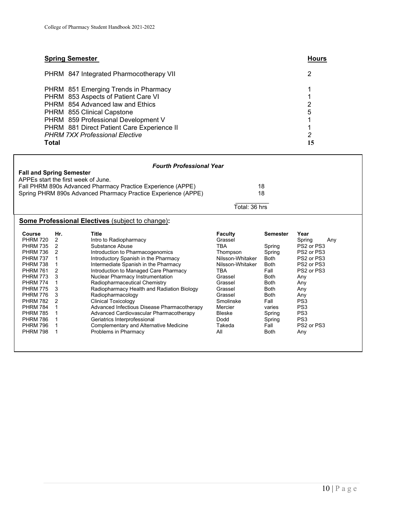| <b>Spring Semester</b>                     |    |  |
|--------------------------------------------|----|--|
| PHRM 847 Integrated Pharmocotherapy VII    | 2  |  |
| PHRM 851 Emerging Trends in Pharmacy       |    |  |
| PHRM 853 Aspects of Patient Care VI        |    |  |
| PHRM 854 Advanced law and Ethics           | 2  |  |
| PHRM 855 Clinical Capstone                 | 5  |  |
| PHRM 859 Professional Development V        |    |  |
| PHRM 881 Direct Patient Care Experience II |    |  |
| <b>PHRM 7XX Professional Elective</b>      | 2  |  |
| Total                                      | 15 |  |

| <b>Fall and Spring Semester</b>                               |                                                                                                    |                                             |                     |                 |                 |  |
|---------------------------------------------------------------|----------------------------------------------------------------------------------------------------|---------------------------------------------|---------------------|-----------------|-----------------|--|
|                                                               | APPFs start the first week of June.<br>Fall PHRM 890s Advanced Pharmacy Practice Experience (APPE) |                                             |                     | 18              |                 |  |
| Spring PHRM 890s Advanced Pharmacy Practice Experience (APPE) |                                                                                                    |                                             | 18<br>Total: 36 hrs |                 |                 |  |
|                                                               |                                                                                                    |                                             |                     |                 |                 |  |
| Course                                                        | Hr.                                                                                                | <b>Title</b>                                | <b>Faculty</b>      | <b>Semester</b> | Year            |  |
| <b>PHRM 720</b>                                               | $\overline{2}$                                                                                     | Intro to Radiopharmacy                      | Grassel             |                 | Spring<br>Any   |  |
| <b>PHRM 735</b>                                               | $\mathcal{P}$                                                                                      | Substance Abuse                             | <b>TBA</b>          | Spring          | PS2 or PS3      |  |
| <b>PHRM 736</b>                                               |                                                                                                    | Introduction to Pharmacogenomics            | Thompson            | Spring          | PS2 or PS3      |  |
| <b>PHRM 737</b>                                               |                                                                                                    | Introductory Spanish in the Pharmacy        | Nilsson-Whitaker    | <b>Both</b>     | PS2 or PS3      |  |
| <b>PHRM 738</b>                                               |                                                                                                    | Intermediate Spanish in the Pharmacy        | Nilsson-Whitaker    | Both            | PS2 or PS3      |  |
| <b>PHRM 761</b>                                               | 2                                                                                                  | Introduction to Managed Care Pharmacy       | <b>TBA</b>          | Fall            | PS2 or PS3      |  |
| <b>PHRM 773</b>                                               | 3                                                                                                  | Nuclear Pharmacy Instrumentation            | Grassel             | <b>Both</b>     | Any             |  |
| <b>PHRM 774</b>                                               |                                                                                                    | Radiopharmaceutical Chemistry               | Grassel             | <b>Both</b>     | Any             |  |
| <b>PHRM 775</b>                                               |                                                                                                    | Radiopharmacy Health and Radiation Biology  | Grassel             | <b>Both</b>     | Any             |  |
| <b>PHRM 776</b>                                               | 3                                                                                                  | Radiopharmacology                           | Grassel             | <b>Both</b>     | Any             |  |
| <b>PHRM 782</b>                                               | $\mathcal{P}$                                                                                      | <b>Clinical Toxicology</b>                  | Smolinske           | Fall            | PS <sub>3</sub> |  |
| <b>PHRM 784</b>                                               |                                                                                                    | Advanced Infectious Disease Pharmacotherapy | Mercier             | varies          | PS <sub>3</sub> |  |
| <b>PHRM 785</b>                                               |                                                                                                    | Advanced Cardiovascular Pharmacotherapy     | <b>Bleske</b>       | Spring          | PS <sub>3</sub> |  |
| <b>PHRM 786</b>                                               |                                                                                                    | Geriatrics Interprofessional                | Dodd                | Spring          | PS <sub>3</sub> |  |
| <b>PHRM 796</b>                                               |                                                                                                    | Complementary and Alternative Medicine      | Takeda              | Fall            | PS2 or PS3      |  |
| <b>PHRM 798</b>                                               |                                                                                                    | Problems in Pharmacy                        | All                 | <b>Both</b>     | Any             |  |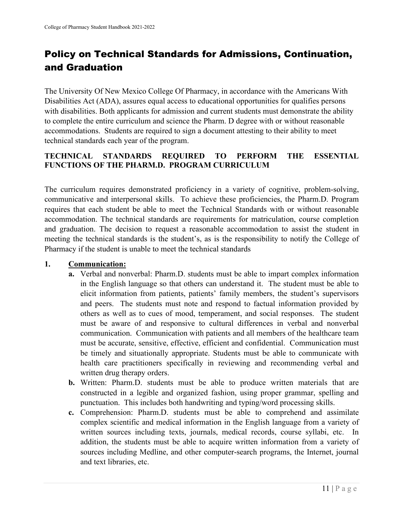# Policy on Technical Standards for Admissions, Continuation, and Graduation

The University Of New Mexico College Of Pharmacy, in accordance with the Americans With Disabilities Act (ADA), assures equal access to educational opportunities for qualifies persons with disabilities. Both applicants for admission and current students must demonstrate the ability to complete the entire curriculum and science the Pharm. D degree with or without reasonable accommodations. Students are required to sign a document attesting to their ability to meet technical standards each year of the program.

# **TECHNICAL STANDARDS REQUIRED TO PERFORM THE ESSENTIAL FUNCTIONS OF THE PHARM.D. PROGRAM CURRICULUM**

The curriculum requires demonstrated proficiency in a variety of cognitive, problem-solving, communicative and interpersonal skills. To achieve these proficiencies, the Pharm.D. Program requires that each student be able to meet the Technical Standards with or without reasonable accommodation. The technical standards are requirements for matriculation, course completion and graduation. The decision to request a reasonable accommodation to assist the student in meeting the technical standards is the student's, as is the responsibility to notify the College of Pharmacy if the student is unable to meet the technical standards

### **1. Communication:**

- **a.** Verbal and nonverbal: Pharm.D. students must be able to impart complex information in the English language so that others can understand it. The student must be able to elicit information from patients, patients' family members, the student's supervisors and peers. The students must note and respond to factual information provided by others as well as to cues of mood, temperament, and social responses. The student must be aware of and responsive to cultural differences in verbal and nonverbal communication. Communication with patients and all members of the healthcare team must be accurate, sensitive, effective, efficient and confidential. Communication must be timely and situationally appropriate. Students must be able to communicate with health care practitioners specifically in reviewing and recommending verbal and written drug therapy orders.
- **b.** Written: Pharm.D. students must be able to produce written materials that are constructed in a legible and organized fashion, using proper grammar, spelling and punctuation. This includes both handwriting and typing/word processing skills.
- **c.** Comprehension: Pharm.D. students must be able to comprehend and assimilate complex scientific and medical information in the English language from a variety of written sources including texts, journals, medical records, course syllabi, etc. In addition, the students must be able to acquire written information from a variety of sources including Medline, and other computer-search programs, the Internet, journal and text libraries, etc.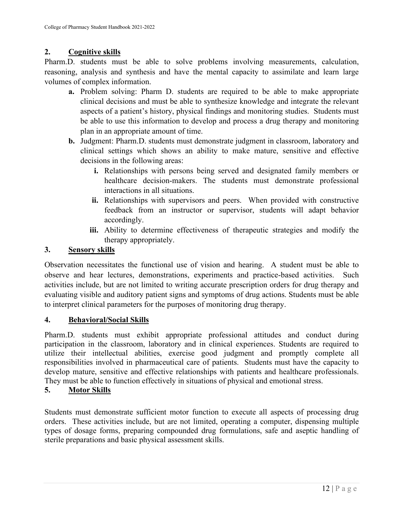### **2. Cognitive skills**

Pharm.D. students must be able to solve problems involving measurements, calculation, reasoning, analysis and synthesis and have the mental capacity to assimilate and learn large volumes of complex information.

- **a.** Problem solving: Pharm D. students are required to be able to make appropriate clinical decisions and must be able to synthesize knowledge and integrate the relevant aspects of a patient's history, physical findings and monitoring studies. Students must be able to use this information to develop and process a drug therapy and monitoring plan in an appropriate amount of time.
- **b.** Judgment: Pharm.D. students must demonstrate judgment in classroom, laboratory and clinical settings which shows an ability to make mature, sensitive and effective decisions in the following areas:
	- **i.** Relationships with persons being served and designated family members or healthcare decision-makers. The students must demonstrate professional interactions in all situations.
	- **ii.** Relationships with supervisors and peers. When provided with constructive feedback from an instructor or supervisor, students will adapt behavior accordingly.
	- **iii.** Ability to determine effectiveness of therapeutic strategies and modify the therapy appropriately.

### **3. Sensory skills**

Observation necessitates the functional use of vision and hearing. A student must be able to observe and hear lectures, demonstrations, experiments and practice-based activities. Such activities include, but are not limited to writing accurate prescription orders for drug therapy and evaluating visible and auditory patient signs and symptoms of drug actions. Students must be able to interpret clinical parameters for the purposes of monitoring drug therapy.

### **4. Behavioral/Social Skills**

Pharm.D. students must exhibit appropriate professional attitudes and conduct during participation in the classroom, laboratory and in clinical experiences. Students are required to utilize their intellectual abilities, exercise good judgment and promptly complete all responsibilities involved in pharmaceutical care of patients. Students must have the capacity to develop mature, sensitive and effective relationships with patients and healthcare professionals. They must be able to function effectively in situations of physical and emotional stress.

# **5. Motor Skills**

Students must demonstrate sufficient motor function to execute all aspects of processing drug orders. These activities include, but are not limited, operating a computer, dispensing multiple types of dosage forms, preparing compounded drug formulations, safe and aseptic handling of sterile preparations and basic physical assessment skills.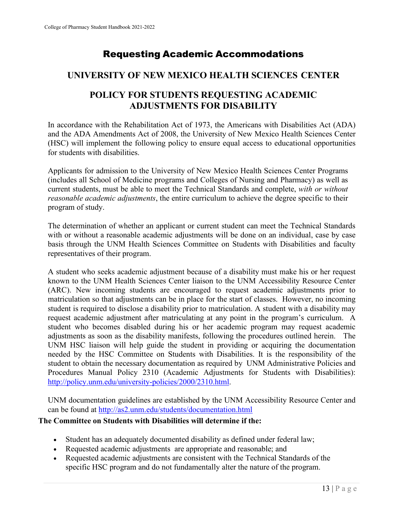# Requesting Academic Accommodations

# **UNIVERSITY OF NEW MEXICO HEALTH SCIENCES CENTER**

# **POLICY FOR STUDENTS REQUESTING ACADEMIC ADJUSTMENTS FOR DISABILITY**

In accordance with the Rehabilitation Act of 1973, the Americans with Disabilities Act (ADA) and the ADA Amendments Act of 2008, the University of New Mexico Health Sciences Center (HSC) will implement the following policy to ensure equal access to educational opportunities for students with disabilities.

Applicants for admission to the University of New Mexico Health Sciences Center Programs (includes all School of Medicine programs and Colleges of Nursing and Pharmacy) as well as current students, must be able to meet the Technical Standards and complete, *with or without reasonable academic adjustments*, the entire curriculum to achieve the degree specific to their program of study.

The determination of whether an applicant or current student can meet the Technical Standards with or without a reasonable academic adjustments will be done on an individual, case by case basis through the UNM Health Sciences Committee on Students with Disabilities and faculty representatives of their program.

A student who seeks academic adjustment because of a disability must make his or her request known to the UNM Health Sciences Center liaison to the UNM Accessibility Resource Center (ARC). New incoming students are encouraged to request academic adjustments prior to matriculation so that adjustments can be in place for the start of classes. However, no incoming student is required to disclose a disability prior to matriculation. A student with a disability may request academic adjustment after matriculating at any point in the program's curriculum. A student who becomes disabled during his or her academic program may request academic adjustments as soon as the disability manifests, following the procedures outlined herein. The UNM HSC liaison will help guide the student in providing or acquiring the documentation needed by the HSC Committee on Students with Disabilities. It is the responsibility of the student to obtain the necessary documentation as required by UNM Administrative Policies and Procedures Manual Policy 2310 (Academic Adjustments for Students with Disabilities): [http://policy.unm.edu/university-policies/2000/2310.html.](http://policy.unm.edu/university-policies/2000/2310.html)

UNM documentation guidelines are established by the UNM Accessibility Resource Center and can be found at <http://as2.unm.edu/students/documentation.html>

#### **The Committee on Students with Disabilities will determine if the:**

- Student has an adequately documented disability as defined under federal law;
- Requested academic adjustments are appropriate and reasonable; and
- Requested academic adjustments are consistent with the Technical Standards of the specific HSC program and do not fundamentally alter the nature of the program.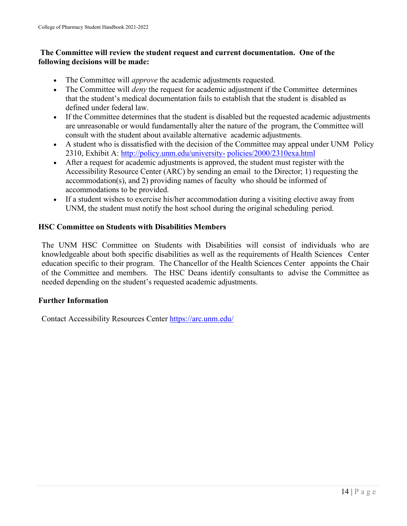### **The Committee will review the student request and current documentation. One of the following decisions will be made:**

- The Committee will *approve* the academic adjustments requested.
- The Committee will *deny* the request for academic adjustment if the Committee determines that the student's medical documentation fails to establish that the student is disabled as defined under federal law.
- If the Committee determines that the student is disabled but the requested academic adjustments are unreasonable or would fundamentally alter the nature of the program, the Committee will consult with the student about available alternative academic adjustments.
- A student who is dissatisfied with the decision of the Committee may appeal under UNM Policy 2310, Exhibit A: [http://policy.unm.edu/university-](http://policy.unm.edu/university-policies/2000/2310exa.html) policies/2000/2310exa.html
- After a request for academic adjustments is approved, the student must register with the Accessibility Resource Center (ARC) by sending an email to the Director; 1) requesting the accommodation(s), and 2) providing names of faculty who should be informed of accommodations to be provided.
- If a student wishes to exercise his/her accommodation during a visiting elective away from UNM, the student must notify the host school during the original scheduling period.

# **HSC Committee on Students with Disabilities Members**

The UNM HSC Committee on Students with Disabilities will consist of individuals who are knowledgeable about both specific disabilities as well as the requirements of Health Sciences Center education specific to their program. The Chancellor of the Health Sciences Center appoints the Chair of the Committee and members. The HSC Deans identify consultants to advise the Committee as needed depending on the student's requested academic adjustments.

# **Further Information**

Contact Accessibility Resources Center<https://arc.unm.edu/>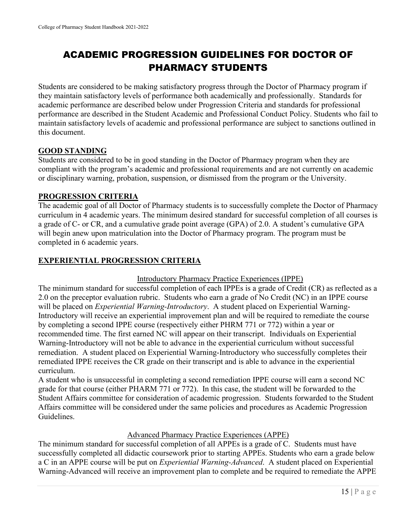# ACADEMIC PROGRESSION GUIDELINES FOR DOCTOR OF PHARMACY STUDENTS

Students are considered to be making satisfactory progress through the Doctor of Pharmacy program if they maintain satisfactory levels of performance both academically and professionally. Standards for academic performance are described below under Progression Criteria and standards for professional performance are described in the Student Academic and Professional Conduct Policy. Students who fail to maintain satisfactory levels of academic and professional performance are subject to sanctions outlined in this document.

### **GOOD STANDING**

Students are considered to be in good standing in the Doctor of Pharmacy program when they are compliant with the program's academic and professional requirements and are not currently on academic or disciplinary warning, probation, suspension, or dismissed from the program or the University.

### **PROGRESSION CRITERIA**

The academic goal of all Doctor of Pharmacy students is to successfully complete the Doctor of Pharmacy curriculum in 4 academic years. The minimum desired standard for successful completion of all courses is a grade of C- or CR, and a cumulative grade point average (GPA) of 2.0. A student's cumulative GPA will begin anew upon matriculation into the Doctor of Pharmacy program. The program must be completed in 6 academic years.

# **EXPERIENTIAL PROGRESSION CRITERIA**

### Introductory Pharmacy Practice Experiences (IPPE)

The minimum standard for successful completion of each IPPEs is a grade of Credit (CR) as reflected as a 2.0 on the preceptor evaluation rubric. Students who earn a grade of No Credit (NC) in an IPPE course will be placed on *Experiential Warning-Introductory*. A student placed on Experiential Warning-Introductory will receive an experiential improvement plan and will be required to remediate the course by completing a second IPPE course (respectively either PHRM 771 or 772) within a year or recommended time. The first earned NC will appear on their transcript. Individuals on Experiential Warning-Introductory will not be able to advance in the experiential curriculum without successful remediation. A student placed on Experiential Warning-Introductory who successfully completes their remediated IPPE receives the CR grade on their transcript and is able to advance in the experiential curriculum.

A student who is unsuccessful in completing a second remediation IPPE course will earn a second NC grade for that course (either PHARM 771 or 772). In this case, the student will be forwarded to the Student Affairs committee for consideration of academic progression. Students forwarded to the Student Affairs committee will be considered under the same policies and procedures as Academic Progression Guidelines.

# Advanced Pharmacy Practice Experiences (APPE)

The minimum standard for successful completion of all APPEs is a grade of C. Students must have successfully completed all didactic coursework prior to starting APPEs. Students who earn a grade below a C in an APPE course will be put on *Experiential Warning-Advanced*. A student placed on Experiential Warning-Advanced will receive an improvement plan to complete and be required to remediate the APPE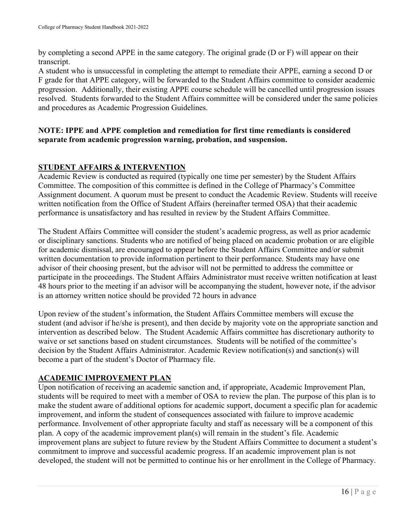by completing a second APPE in the same category. The original grade (D or F) will appear on their transcript.

A student who is unsuccessful in completing the attempt to remediate their APPE, earning a second D or F grade for that APPE category, will be forwarded to the Student Affairs committee to consider academic progression. Additionally, their existing APPE course schedule will be cancelled until progression issues resolved. Students forwarded to the Student Affairs committee will be considered under the same policies and procedures as Academic Progression Guidelines.

### **NOTE: IPPE and APPE completion and remediation for first time remediants is considered separate from academic progression warning, probation, and suspension.**

### **STUDENT AFFAIRS & INTERVENTION**

Academic Review is conducted as required (typically one time per semester) by the Student Affairs Committee. The composition of this committee is defined in the College of Pharmacy's Committee Assignment document. A quorum must be present to conduct the Academic Review. Students will receive written notification from the Office of Student Affairs (hereinafter termed OSA) that their academic performance is unsatisfactory and has resulted in review by the Student Affairs Committee.

The Student Affairs Committee will consider the student's academic progress, as well as prior academic or disciplinary sanctions. Students who are notified of being placed on academic probation or are eligible for academic dismissal, are encouraged to appear before the Student Affairs Committee and/or submit written documentation to provide information pertinent to their performance. Students may have one advisor of their choosing present, but the advisor will not be permitted to address the committee or participate in the proceedings. The Student Affairs Administrator must receive written notification at least 48 hours prior to the meeting if an advisor will be accompanying the student, however note, if the advisor is an attorney written notice should be provided 72 hours in advance

Upon review of the student's information, the Student Affairs Committee members will excuse the student (and advisor if he/she is present), and then decide by majority vote on the appropriate sanction and intervention as described below. The Student Academic Affairs committee has discretionary authority to waive or set sanctions based on student circumstances. Students will be notified of the committee's decision by the Student Affairs Administrator. Academic Review notification(s) and sanction(s) will become a part of the student's Doctor of Pharmacy file.

### **ACADEMIC IMPROVEMENT PLAN**

Upon notification of receiving an academic sanction and, if appropriate, Academic Improvement Plan, students will be required to meet with a member of OSA to review the plan. The purpose of this plan is to make the student aware of additional options for academic support, document a specific plan for academic improvement, and inform the student of consequences associated with failure to improve academic performance. Involvement of other appropriate faculty and staff as necessary will be a component of this plan. A copy of the academic improvement plan(s) will remain in the student's file. Academic improvement plans are subject to future review by the Student Affairs Committee to document a student's commitment to improve and successful academic progress. If an academic improvement plan is not developed, the student will not be permitted to continue his or her enrollment in the College of Pharmacy.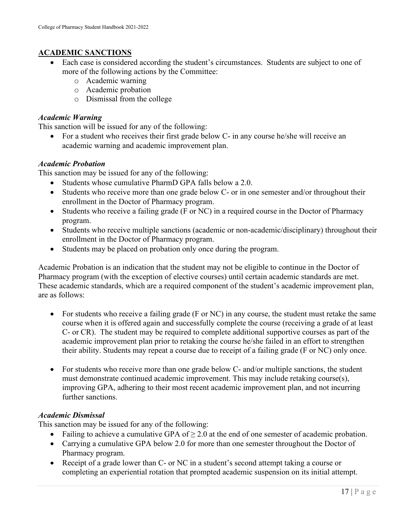#### **ACADEMIC SANCTIONS**

- Each case is considered according the student's circumstances. Students are subject to one of more of the following actions by the Committee:
	- o Academic warning
	- o Academic probation
	- o Dismissal from the college

#### *Academic Warning*

This sanction will be issued for any of the following:

• For a student who receives their first grade below C- in any course he/she will receive an academic warning and academic improvement plan.

#### *Academic Probation*

This sanction may be issued for any of the following:

- Students whose cumulative PharmD GPA falls below a 2.0.
- Students who receive more than one grade below C- or in one semester and/or throughout their enrollment in the Doctor of Pharmacy program.
- Students who receive a failing grade (F or NC) in a required course in the Doctor of Pharmacy program.
- Students who receive multiple sanctions (academic or non-academic/disciplinary) throughout their enrollment in the Doctor of Pharmacy program.
- Students may be placed on probation only once during the program.

Academic Probation is an indication that the student may not be eligible to continue in the Doctor of Pharmacy program (with the exception of elective courses) until certain academic standards are met. These academic standards, which are a required component of the student's academic improvement plan, are as follows:

- For students who receive a failing grade (F or NC) in any course, the student must retake the same course when it is offered again and successfully complete the course (receiving a grade of at least C- or CR). The student may be required to complete additional supportive courses as part of the academic improvement plan prior to retaking the course he/she failed in an effort to strengthen their ability. Students may repeat a course due to receipt of a failing grade (F or NC) only once.
- For students who receive more than one grade below C- and/or multiple sanctions, the student must demonstrate continued academic improvement. This may include retaking course(s), improving GPA, adhering to their most recent academic improvement plan, and not incurring further sanctions.

### *Academic Dismissal*

This sanction may be issued for any of the following:

- Failing to achieve a cumulative GPA of  $\geq 2.0$  at the end of one semester of academic probation.
- Carrying a cumulative GPA below 2.0 for more than one semester throughout the Doctor of Pharmacy program.
- Receipt of a grade lower than C- or NC in a student's second attempt taking a course or completing an experiential rotation that prompted academic suspension on its initial attempt.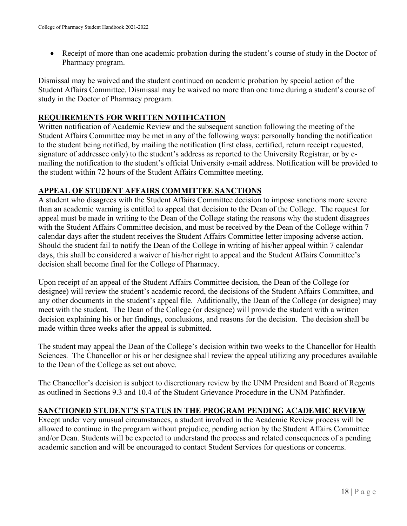• Receipt of more than one academic probation during the student's course of study in the Doctor of Pharmacy program.

Dismissal may be waived and the student continued on academic probation by special action of the Student Affairs Committee. Dismissal may be waived no more than one time during a student's course of study in the Doctor of Pharmacy program.

### **REQUIREMENTS FOR WRITTEN NOTIFICATION**

Written notification of Academic Review and the subsequent sanction following the meeting of the Student Affairs Committee may be met in any of the following ways: personally handing the notification to the student being notified, by mailing the notification (first class, certified, return receipt requested, signature of addressee only) to the student's address as reported to the University Registrar, or by emailing the notification to the student's official University e-mail address. Notification will be provided to the student within 72 hours of the Student Affairs Committee meeting.

### **APPEAL OF STUDENT AFFAIRS COMMITTEE SANCTIONS**

A student who disagrees with the Student Affairs Committee decision to impose sanctions more severe than an academic warning is entitled to appeal that decision to the Dean of the College. The request for appeal must be made in writing to the Dean of the College stating the reasons why the student disagrees with the Student Affairs Committee decision, and must be received by the Dean of the College within 7 calendar days after the student receives the Student Affairs Committee letter imposing adverse action. Should the student fail to notify the Dean of the College in writing of his/her appeal within 7 calendar days, this shall be considered a waiver of his/her right to appeal and the Student Affairs Committee's decision shall become final for the College of Pharmacy.

Upon receipt of an appeal of the Student Affairs Committee decision, the Dean of the College (or designee) will review the student's academic record, the decisions of the Student Affairs Committee, and any other documents in the student's appeal file. Additionally, the Dean of the College (or designee) may meet with the student. The Dean of the College (or designee) will provide the student with a written decision explaining his or her findings, conclusions, and reasons for the decision. The decision shall be made within three weeks after the appeal is submitted.

The student may appeal the Dean of the College's decision within two weeks to the Chancellor for Health Sciences. The Chancellor or his or her designee shall review the appeal utilizing any procedures available to the Dean of the College as set out above.

The Chancellor's decision is subject to discretionary review by the UNM President and Board of Regents as outlined in Sections 9.3 and 10.4 of the Student Grievance Procedure in the UNM Pathfinder.

### **SANCTIONED STUDENT'S STATUS IN THE PROGRAM PENDING ACADEMIC REVIEW**

Except under very unusual circumstances, a student involved in the Academic Review process will be allowed to continue in the program without prejudice, pending action by the Student Affairs Committee and/or Dean. Students will be expected to understand the process and related consequences of a pending academic sanction and will be encouraged to contact Student Services for questions or concerns.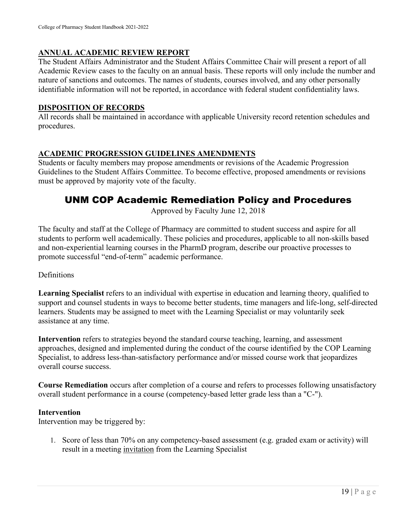### **ANNUAL ACADEMIC REVIEW REPORT**

The Student Affairs Administrator and the Student Affairs Committee Chair will present a report of all Academic Review cases to the faculty on an annual basis. These reports will only include the number and nature of sanctions and outcomes. The names of students, courses involved, and any other personally identifiable information will not be reported, in accordance with federal student confidentiality laws.

### **DISPOSITION OF RECORDS**

All records shall be maintained in accordance with applicable University record retention schedules and procedures.

### **ACADEMIC PROGRESSION GUIDELINES AMENDMENTS**

Students or faculty members may propose amendments or revisions of the Academic Progression Guidelines to the Student Affairs Committee. To become effective, proposed amendments or revisions must be approved by majority vote of the faculty.

# UNM COP Academic Remediation Policy and Procedures

Approved by Faculty June 12, 2018

The faculty and staff at the College of Pharmacy are committed to student success and aspire for all students to perform well academically. These policies and procedures, applicable to all non-skills based and non-experiential learning courses in the PharmD program, describe our proactive processes to promote successful "end-of-term" academic performance.

### Definitions

**Learning Specialist** refers to an individual with expertise in education and learning theory, qualified to support and counsel students in ways to become better students, time managers and life-long, self-directed learners. Students may be assigned to meet with the Learning Specialist or may voluntarily seek assistance at any time.

**Intervention** refers to strategies beyond the standard course teaching, learning, and assessment approaches, designed and implemented during the conduct of the course identified by the COP Learning Specialist, to address less-than-satisfactory performance and/or missed course work that jeopardizes overall course success.

**Course Remediation** occurs after completion of a course and refers to processes following unsatisfactory overall student performance in a course (competency-based letter grade less than a "C-").

### **Intervention**

Intervention may be triggered by:

1. Score of less than 70% on any competency-based assessment (e.g. graded exam or activity) will result in a meeting invitation from the Learning Specialist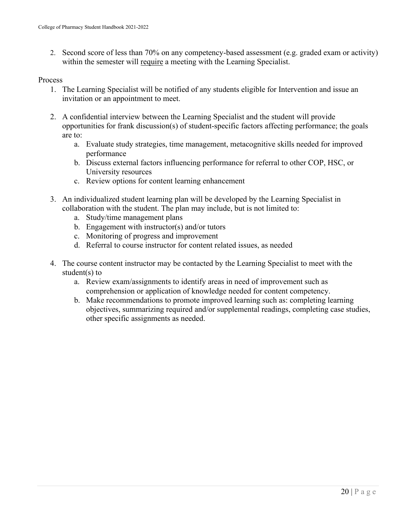2. Second score of less than 70% on any competency-based assessment (e.g. graded exam or activity) within the semester will require a meeting with the Learning Specialist.

#### Process

- 1. The Learning Specialist will be notified of any students eligible for Intervention and issue an invitation or an appointment to meet.
- 2. A confidential interview between the Learning Specialist and the student will provide opportunities for frank discussion(s) of student-specific factors affecting performance; the goals are to:
	- a. Evaluate study strategies, time management, metacognitive skills needed for improved performance
	- b. Discuss external factors influencing performance for referral to other COP, HSC, or University resources
	- c. Review options for content learning enhancement
- 3. An individualized student learning plan will be developed by the Learning Specialist in collaboration with the student. The plan may include, but is not limited to:
	- a. Study/time management plans
	- b. Engagement with instructor(s) and/or tutors
	- c. Monitoring of progress and improvement
	- d. Referral to course instructor for content related issues, as needed
- 4. The course content instructor may be contacted by the Learning Specialist to meet with the student(s) to
	- a. Review exam/assignments to identify areas in need of improvement such as comprehension or application of knowledge needed for content competency.
	- b. Make recommendations to promote improved learning such as: completing learning objectives, summarizing required and/or supplemental readings, completing case studies, other specific assignments as needed.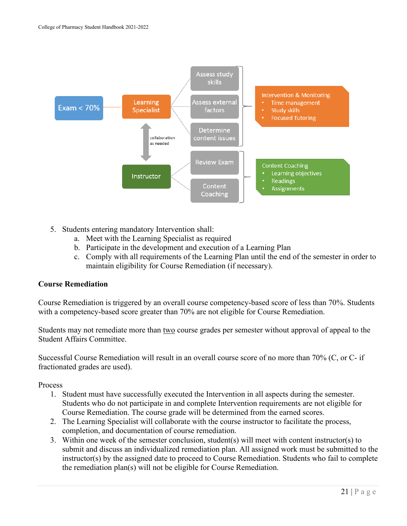

- 5. Students entering mandatory Intervention shall:
	- a. Meet with the Learning Specialist as required
	- b. Participate in the development and execution of a Learning Plan
	- c. Comply with all requirements of the Learning Plan until the end of the semester in order to maintain eligibility for Course Remediation (if necessary).

### **Course Remediation**

Course Remediation is triggered by an overall course competency-based score of less than 70%. Students with a competency-based score greater than 70% are not eligible for Course Remediation.

Students may not remediate more than two course grades per semester without approval of appeal to the Student Affairs Committee.

Successful Course Remediation will result in an overall course score of no more than 70% (C, or C- if fractionated grades are used).

### Process

- 1. Student must have successfully executed the Intervention in all aspects during the semester. Students who do not participate in and complete Intervention requirements are not eligible for Course Remediation. The course grade will be determined from the earned scores.
- 2. The Learning Specialist will collaborate with the course instructor to facilitate the process, completion, and documentation of course remediation.
- 3. Within one week of the semester conclusion, student(s) will meet with content instructor(s) to submit and discuss an individualized remediation plan. All assigned work must be submitted to the instructor(s) by the assigned date to proceed to Course Remediation. Students who fail to complete the remediation plan(s) will not be eligible for Course Remediation.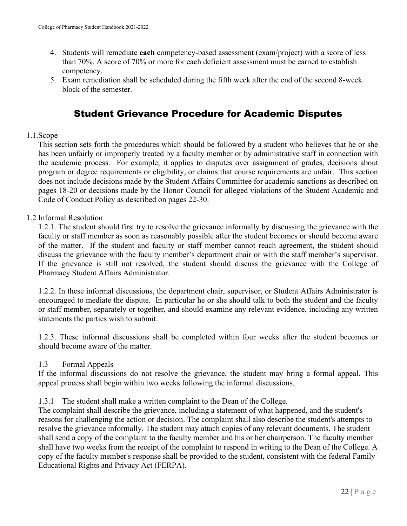- 4. Students will remediate **each** competency-based assessment (exam/project) with a score of less than 70%. A score of 70% or more for each deficient assessment must be earned to establish competency.
- 5. Exam remediation shall be scheduled during the fifth week after the end of the second 8-week block of the semester.

# Student Grievance Procedure for Academic Disputes

#### 1.1.Scope

This section sets forth the procedures which should be followed by a student who believes that he or she has been unfairly or improperly treated by a faculty member or by administrative staff in connection with the academic process. For example, it applies to disputes over assignment of grades, decisions about program or degree requirements or eligibility, or claims that course requirements are unfair. This section does not include decisions made by the Student Affairs Committee for academic sanctions as described on pages 18-20 or decisions made by the Honor Council for alleged violations of the Student Academic and Code of Conduct Policy as described on pages 22-30.

### 1.2 Informal Resolution

1.2.1. The student should first try to resolve the grievance informally by discussing the grievance with the faculty or staff member as soon as reasonably possible after the student becomes or should become aware of the matter. If the student and faculty or staff member cannot reach agreement, the student should discuss the grievance with the faculty member's department chair or with the staff member's supervisor. If the grievance is still not resolved, the student should discuss the grievance with the College of Pharmacy Student Affairs Administrator.

1.2.2. In these informal discussions, the department chair, supervisor, or Student Affairs Administrator is encouraged to mediate the dispute. In particular he or she should talk to both the student and the faculty or staff member, separately or together, and should examine any relevant evidence, including any written statements the parties wish to submit.

1.2.3. These informal discussions shall be completed within four weeks after the student becomes or should become aware of the matter.

### 1.3 Formal Appeals

If the informal discussions do not resolve the grievance, the student may bring a formal appeal. This appeal process shall begin within two weeks following the informal discussions.

1.3.1 The student shall make a written complaint to the Dean of the College.

The complaint shall describe the grievance, including a statement of what happened, and the student's reasons for challenging the action or decision. The complaint shall also describe the student's attempts to resolve the grievance informally. The student may attach copies of any relevant documents. The student shall send a copy of the complaint to the faculty member and his or her chairperson. The faculty member shall have two weeks from the receipt of the complaint to respond in writing to the Dean of the College. A copy of the faculty member's response shall be provided to the student, consistent with the federal Family Educational Rights and Privacy Act (FERPA).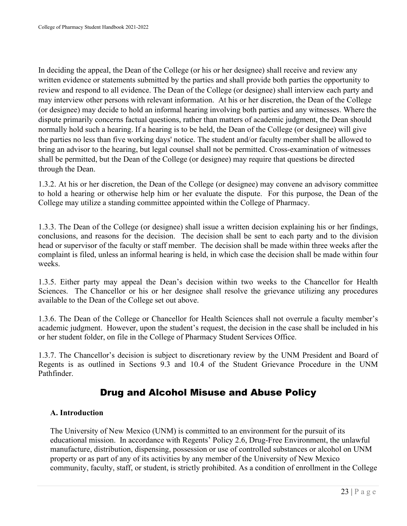In deciding the appeal, the Dean of the College (or his or her designee) shall receive and review any written evidence or statements submitted by the parties and shall provide both parties the opportunity to review and respond to all evidence. The Dean of the College (or designee) shall interview each party and may interview other persons with relevant information. At his or her discretion, the Dean of the College (or designee) may decide to hold an informal hearing involving both parties and any witnesses. Where the dispute primarily concerns factual questions, rather than matters of academic judgment, the Dean should normally hold such a hearing. If a hearing is to be held, the Dean of the College (or designee) will give the parties no less than five working days' notice. The student and/or faculty member shall be allowed to bring an advisor to the hearing, but legal counsel shall not be permitted. Cross-examination of witnesses shall be permitted, but the Dean of the College (or designee) may require that questions be directed through the Dean.

1.3.2. At his or her discretion, the Dean of the College (or designee) may convene an advisory committee to hold a hearing or otherwise help him or her evaluate the dispute. For this purpose, the Dean of the College may utilize a standing committee appointed within the College of Pharmacy.

1.3.3. The Dean of the College (or designee) shall issue a written decision explaining his or her findings, conclusions, and reasons for the decision. The decision shall be sent to each party and to the division head or supervisor of the faculty or staff member. The decision shall be made within three weeks after the complaint is filed, unless an informal hearing is held, in which case the decision shall be made within four weeks.

1.3.5. Either party may appeal the Dean's decision within two weeks to the Chancellor for Health Sciences. The Chancellor or his or her designee shall resolve the grievance utilizing any procedures available to the Dean of the College set out above.

1.3.6. The Dean of the College or Chancellor for Health Sciences shall not overrule a faculty member's academic judgment. However, upon the student's request, the decision in the case shall be included in his or her student folder, on file in the College of Pharmacy Student Services Office.

1.3.7. The Chancellor's decision is subject to discretionary review by the UNM President and Board of Regents is as outlined in Sections 9.3 and 10.4 of the Student Grievance Procedure in the UNM Pathfinder.

# Drug and Alcohol Misuse and Abuse Policy

# **A. Introduction**

The University of New Mexico (UNM) is committed to an environment for the pursuit of its educational mission. In accordance with Regents' Policy 2.6, Drug-Free Environment, the unlawful manufacture, distribution, dispensing, possession or use of controlled substances or alcohol on UNM property or as part of any of its activities by any member of the University of New Mexico community, faculty, staff, or student, is strictly prohibited. As a condition of enrollment in the College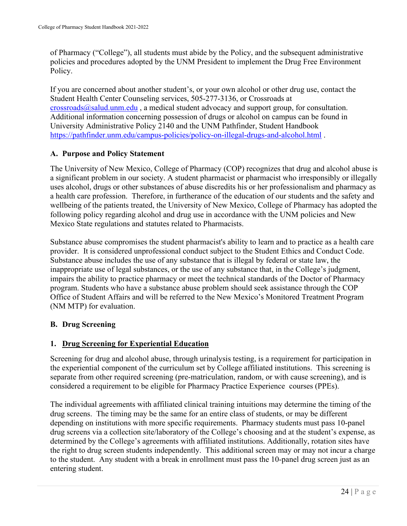of Pharmacy ("College"), all students must abide by the Policy, and the subsequent administrative policies and procedures adopted by the UNM President to implement the Drug Free Environment Policy.

If you are concerned about another student's, or your own alcohol or other drug use, contact the Student Health Center Counseling services, 505-277-3136, or Crossroads at  $crossroads@salud.umm.edu$ , a medical student advocacy and support group, for consultation. Additional information concerning possession of drugs or alcohol on campus can be found in University Administrative Policy 2140 and the UNM Pathfinder, Student Handbook <https://pathfinder.unm.edu/campus-policies/policy-on-illegal-drugs-and-alcohol.html> .

### **A. Purpose and Policy Statement**

The University of New Mexico, College of Pharmacy (COP) recognizes that drug and alcohol abuse is a significant problem in our society. A student pharmacist or pharmacist who irresponsibly or illegally uses alcohol, drugs or other substances of abuse discredits his or her professionalism and pharmacy as a health care profession. Therefore, in furtherance of the education of our students and the safety and wellbeing of the patients treated, the University of New Mexico, College of Pharmacy has adopted the following policy regarding alcohol and drug use in accordance with the UNM policies and New Mexico State regulations and statutes related to Pharmacists.

Substance abuse compromises the student pharmacist's ability to learn and to practice as a health care provider. It is considered unprofessional conduct subject to the Student Ethics and Conduct Code. Substance abuse includes the use of any substance that is illegal by federal or state law, the inappropriate use of legal substances, or the use of any substance that, in the College's judgment, impairs the ability to practice pharmacy or meet the technical standards of the Doctor of Pharmacy program. Students who have a substance abuse problem should seek assistance through the COP Office of Student Affairs and will be referred to the New Mexico's Monitored Treatment Program (NM MTP) for evaluation.

### **B. Drug Screening**

### **1. Drug Screening for Experiential Education**

Screening for drug and alcohol abuse, through urinalysis testing, is a requirement for participation in the experiential component of the curriculum set by College affiliated institutions. This screening is separate from other required screening (pre-matriculation, random, or with cause screening), and is considered a requirement to be eligible for Pharmacy Practice Experience courses (PPEs).

The individual agreements with affiliated clinical training intuitions may determine the timing of the drug screens. The timing may be the same for an entire class of students, or may be different depending on institutions with more specific requirements. Pharmacy students must pass 10-panel drug screens via a collection site/laboratory of the College's choosing and at the student's expense, as determined by the College's agreements with affiliated institutions. Additionally, rotation sites have the right to drug screen students independently. This additional screen may or may not incur a charge to the student. Any student with a break in enrollment must pass the 10-panel drug screen just as an entering student.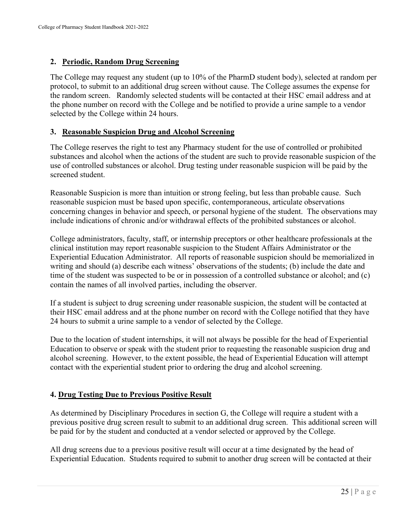### **2. Periodic, Random Drug Screening**

The College may request any student (up to 10% of the PharmD student body), selected at random per protocol, to submit to an additional drug screen without cause. The College assumes the expense for the random screen. Randomly selected students will be contacted at their HSC email address and at the phone number on record with the College and be notified to provide a urine sample to a vendor selected by the College within 24 hours.

### **3. Reasonable Suspicion Drug and Alcohol Screening**

The College reserves the right to test any Pharmacy student for the use of controlled or prohibited substances and alcohol when the actions of the student are such to provide reasonable suspicion of the use of controlled substances or alcohol. Drug testing under reasonable suspicion will be paid by the screened student.

Reasonable Suspicion is more than intuition or strong feeling, but less than probable cause. Such reasonable suspicion must be based upon specific, contemporaneous, articulate observations concerning changes in behavior and speech, or personal hygiene of the student. The observations may include indications of chronic and/or withdrawal effects of the prohibited substances or alcohol.

College administrators, faculty, staff, or internship preceptors or other healthcare professionals at the clinical institution may report reasonable suspicion to the Student Affairs Administrator or the Experiential Education Administrator. All reports of reasonable suspicion should be memorialized in writing and should (a) describe each witness' observations of the students; (b) include the date and time of the student was suspected to be or in possession of a controlled substance or alcohol; and (c) contain the names of all involved parties, including the observer.

If a student is subject to drug screening under reasonable suspicion, the student will be contacted at their HSC email address and at the phone number on record with the College notified that they have 24 hours to submit a urine sample to a vendor of selected by the College.

Due to the location of student internships, it will not always be possible for the head of Experiential Education to observe or speak with the student prior to requesting the reasonable suspicion drug and alcohol screening. However, to the extent possible, the head of Experiential Education will attempt contact with the experiential student prior to ordering the drug and alcohol screening.

### **4. Drug Testing Due to Previous Positive Result**

As determined by Disciplinary Procedures in section G, the College will require a student with a previous positive drug screen result to submit to an additional drug screen. This additional screen will be paid for by the student and conducted at a vendor selected or approved by the College.

All drug screens due to a previous positive result will occur at a time designated by the head of Experiential Education. Students required to submit to another drug screen will be contacted at their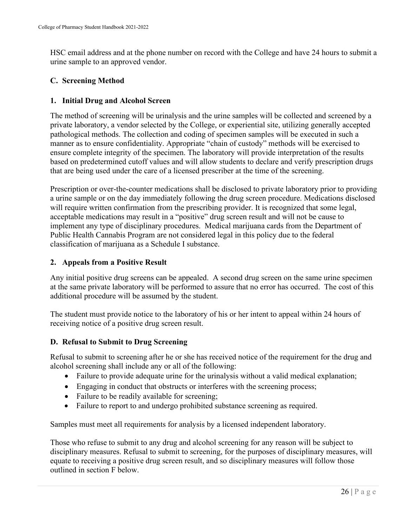HSC email address and at the phone number on record with the College and have 24 hours to submit a urine sample to an approved vendor.

### **C. Screening Method**

### **1. Initial Drug and Alcohol Screen**

The method of screening will be urinalysis and the urine samples will be collected and screened by a private laboratory, a vendor selected by the College, or experiential site, utilizing generally accepted pathological methods. The collection and coding of specimen samples will be executed in such a manner as to ensure confidentiality. Appropriate "chain of custody" methods will be exercised to ensure complete integrity of the specimen. The laboratory will provide interpretation of the results based on predetermined cutoff values and will allow students to declare and verify prescription drugs that are being used under the care of a licensed prescriber at the time of the screening.

Prescription or over-the-counter medications shall be disclosed to private laboratory prior to providing a urine sample or on the day immediately following the drug screen procedure. Medications disclosed will require written confirmation from the prescribing provider. It is recognized that some legal, acceptable medications may result in a "positive" drug screen result and will not be cause to implement any type of disciplinary procedures. Medical marijuana cards from the Department of Public Health Cannabis Program are not considered legal in this policy due to the federal classification of marijuana as a Schedule I substance.

### **2. Appeals from a Positive Result**

Any initial positive drug screens can be appealed. A second drug screen on the same urine specimen at the same private laboratory will be performed to assure that no error has occurred. The cost of this additional procedure will be assumed by the student.

The student must provide notice to the laboratory of his or her intent to appeal within 24 hours of receiving notice of a positive drug screen result.

### **D. Refusal to Submit to Drug Screening**

Refusal to submit to screening after he or she has received notice of the requirement for the drug and alcohol screening shall include any or all of the following:

- Failure to provide adequate urine for the urinalysis without a valid medical explanation;
- Engaging in conduct that obstructs or interferes with the screening process;
- Failure to be readily available for screening;
- Failure to report to and undergo prohibited substance screening as required.

Samples must meet all requirements for analysis by a licensed independent laboratory.

Those who refuse to submit to any drug and alcohol screening for any reason will be subject to disciplinary measures. Refusal to submit to screening, for the purposes of disciplinary measures, will equate to receiving a positive drug screen result, and so disciplinary measures will follow those outlined in section F below.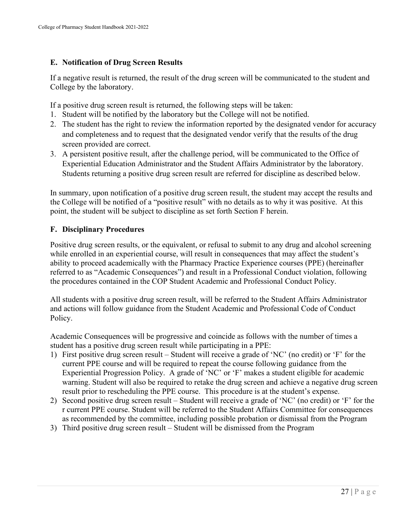### **E. Notification of Drug Screen Results**

If a negative result is returned, the result of the drug screen will be communicated to the student and College by the laboratory.

If a positive drug screen result is returned, the following steps will be taken:

- 1. Student will be notified by the laboratory but the College will not be notified.
- 2. The student has the right to review the information reported by the designated vendor for accuracy and completeness and to request that the designated vendor verify that the results of the drug screen provided are correct.
- 3. A persistent positive result, after the challenge period, will be communicated to the Office of Experiential Education Administrator and the Student Affairs Administrator by the laboratory. Students returning a positive drug screen result are referred for discipline as described below.

In summary, upon notification of a positive drug screen result, the student may accept the results and the College will be notified of a "positive result" with no details as to why it was positive. At this point, the student will be subject to discipline as set forth Section F herein.

### **F. Disciplinary Procedures**

Positive drug screen results, or the equivalent, or refusal to submit to any drug and alcohol screening while enrolled in an experiential course, will result in consequences that may affect the student's ability to proceed academically with the Pharmacy Practice Experience courses (PPE) (hereinafter referred to as "Academic Consequences") and result in a Professional Conduct violation, following the procedures contained in the COP Student Academic and Professional Conduct Policy.

All students with a positive drug screen result, will be referred to the Student Affairs Administrator and actions will follow guidance from the Student Academic and Professional Code of Conduct Policy.

Academic Consequences will be progressive and coincide as follows with the number of times a student has a positive drug screen result while participating in a PPE:

- 1) First positive drug screen result Student will receive a grade of 'NC' (no credit) or 'F' for the current PPE course and will be required to repeat the course following guidance from the Experiential Progression Policy. A grade of 'NC' or 'F' makes a student eligible for academic warning. Student will also be required to retake the drug screen and achieve a negative drug screen result prior to rescheduling the PPE course. This procedure is at the student's expense.
- 2) Second positive drug screen result Student will receive a grade of 'NC' (no credit) or 'F' for the r current PPE course. Student will be referred to the Student Affairs Committee for consequences as recommended by the committee, including possible probation or dismissal from the Program
- 3) Third positive drug screen result Student will be dismissed from the Program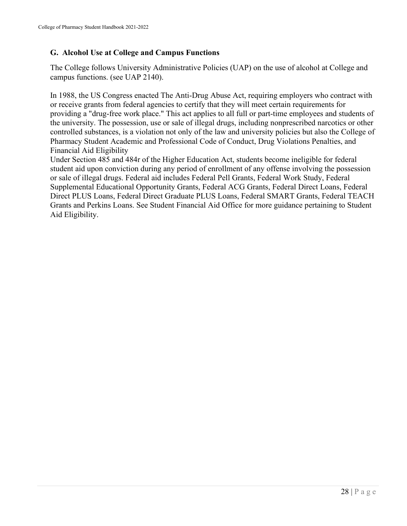### **G. Alcohol Use at College and Campus Functions**

The College follows University Administrative Policies (UAP) on the use of alcohol at College and campus functions. (see UAP 2140).

In 1988, the US Congress enacted The Anti-Drug Abuse Act, requiring employers who contract with or receive grants from federal agencies to certify that they will meet certain requirements for providing a "drug-free work place." This act applies to all full or part-time employees and students of the university. The possession, use or sale of illegal drugs, including nonprescribed narcotics or other controlled substances, is a violation not only of the law and university policies but also the College of Pharmacy Student Academic and Professional Code of Conduct, Drug Violations Penalties, and Financial Aid Eligibility

Under Section 485 and 484r of the Higher Education Act, students become ineligible for federal student aid upon conviction during any period of enrollment of any offense involving the possession or sale of illegal drugs. Federal aid includes Federal Pell Grants, Federal Work Study, Federal Supplemental Educational Opportunity Grants, Federal ACG Grants, Federal Direct Loans, Federal Direct PLUS Loans, Federal Direct Graduate PLUS Loans, Federal SMART Grants, Federal TEACH Grants and Perkins Loans. See Student Financial Aid Office for more guidance pertaining to Student Aid Eligibility.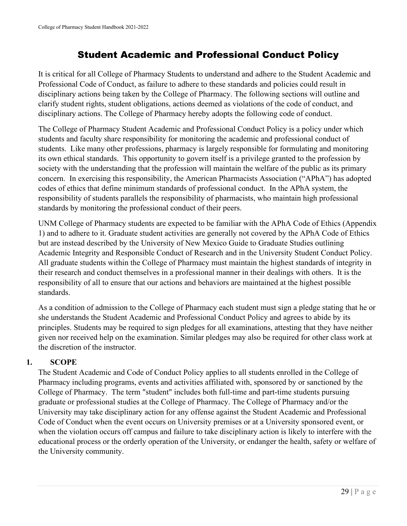# Student Academic and Professional Conduct Policy

It is critical for all College of Pharmacy Students to understand and adhere to the Student Academic and Professional Code of Conduct, as failure to adhere to these standards and policies could result in disciplinary actions being taken by the College of Pharmacy. The following sections will outline and clarify student rights, student obligations, actions deemed as violations of the code of conduct, and disciplinary actions. The College of Pharmacy hereby adopts the following code of conduct.

The College of Pharmacy Student Academic and Professional Conduct Policy is a policy under which students and faculty share responsibility for monitoring the academic and professional conduct of students. Like many other professions, pharmacy is largely responsible for formulating and monitoring its own ethical standards. This opportunity to govern itself is a privilege granted to the profession by society with the understanding that the profession will maintain the welfare of the public as its primary concern. In exercising this responsibility, the American Pharmacists Association ("APhA") has adopted codes of ethics that define minimum standards of professional conduct. In the APhA system, the responsibility of students parallels the responsibility of pharmacists, who maintain high professional standards by monitoring the professional conduct of their peers.

UNM College of Pharmacy students are expected to be familiar with the APhA Code of Ethics (Appendix 1) and to adhere to it. Graduate student activities are generally not covered by the APhA Code of Ethics but are instead described by the University of New Mexico Guide to Graduate Studies outlining Academic Integrity and Responsible Conduct of Research and in the University Student Conduct Policy. All graduate students within the College of Pharmacy must maintain the highest standards of integrity in their research and conduct themselves in a professional manner in their dealings with others. It is the responsibility of all to ensure that our actions and behaviors are maintained at the highest possible standards.

As a condition of admission to the College of Pharmacy each student must sign a pledge stating that he or she understands the Student Academic and Professional Conduct Policy and agrees to abide by its principles. Students may be required to sign pledges for all examinations, attesting that they have neither given nor received help on the examination. Similar pledges may also be required for other class work at the discretion of the instructor.

# **1. SCOPE**

The Student Academic and Code of Conduct Policy applies to all students enrolled in the College of Pharmacy including programs, events and activities affiliated with, sponsored by or sanctioned by the College of Pharmacy. The term "student" includes both full-time and part-time students pursuing graduate or professional studies at the College of Pharmacy. The College of Pharmacy and/or the University may take disciplinary action for any offense against the Student Academic and Professional Code of Conduct when the event occurs on University premises or at a University sponsored event, or when the violation occurs off campus and failure to take disciplinary action is likely to interfere with the educational process or the orderly operation of the University, or endanger the health, safety or welfare of the University community.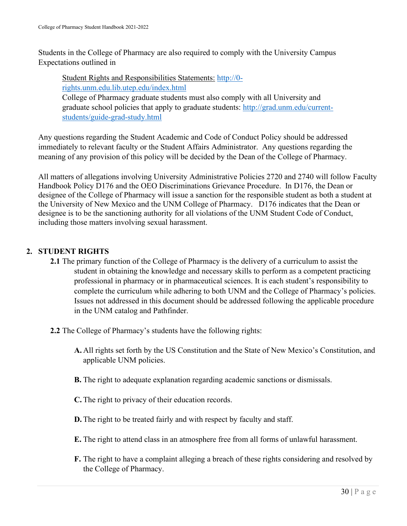Students in the College of Pharmacy are also required to comply with the University Campus Expectations outlined in

Student Rights and Responsibilities Statements: [http://0](http://0-rights.unm.edu.lib.utep.edu/index.html) [rights.unm.edu.lib.utep.edu/index.html](http://0-rights.unm.edu.lib.utep.edu/index.html) College of Pharmacy graduate students must also comply with all University and graduate school policies that apply to graduate students: [http://grad.unm.edu/current](http://grad.unm.edu/current-students/guide-grad-study.html)[students/guide-grad-study.html](http://grad.unm.edu/current-students/guide-grad-study.html)

Any questions regarding the Student Academic and Code of Conduct Policy should be addressed immediately to relevant faculty or the Student Affairs Administrator. Any questions regarding the meaning of any provision of this policy will be decided by the Dean of the College of Pharmacy.

All matters of allegations involving University Administrative Policies 2720 and 2740 will follow Faculty Handbook Policy D176 and the OEO Discriminations Grievance Procedure. In D176, the Dean or designee of the College of Pharmacy will issue a sanction for the responsible student as both a student at the University of New Mexico and the UNM College of Pharmacy. D176 indicates that the Dean or designee is to be the sanctioning authority for all violations of the UNM Student Code of Conduct, including those matters involving sexual harassment.

# **2. STUDENT RIGHTS**

- **2.1** The primary function of the College of Pharmacy is the delivery of a curriculum to assist the student in obtaining the knowledge and necessary skills to perform as a competent practicing professional in pharmacy or in pharmaceutical sciences. It is each student's responsibility to complete the curriculum while adhering to both UNM and the College of Pharmacy's policies. Issues not addressed in this document should be addressed following the applicable procedure in the UNM catalog and Pathfinder.
- **2.2** The College of Pharmacy's students have the following rights:
	- **A.** All rights set forth by the US Constitution and the State of New Mexico's Constitution, and applicable UNM policies.
	- **B.** The right to adequate explanation regarding academic sanctions or dismissals.
	- **C.** The right to privacy of their education records.
	- **D.** The right to be treated fairly and with respect by faculty and staff.
	- **E.** The right to attend class in an atmosphere free from all forms of unlawful harassment.
	- **F.** The right to have a complaint alleging a breach of these rights considering and resolved by the College of Pharmacy.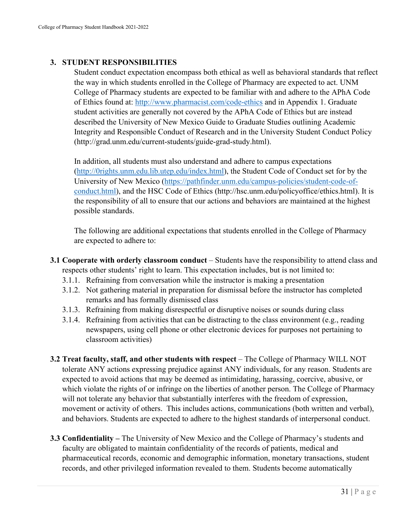### **3. STUDENT RESPONSIBILITIES**

Student conduct expectation encompass both ethical as well as behavioral standards that reflect the way in which students enrolled in the College of Pharmacy are expected to act. UNM College of Pharmacy students are expected to be familiar with and adhere to the APhA Code of Ethics found at:<http://www.pharmacist.com/code-ethics> and in Appendix 1. Graduate student activities are generally not covered by the APhA Code of Ethics but are instead described the University of New Mexico Guide to Graduate Studies outlining Academic Integrity and Responsible Conduct of Research and in the University Student Conduct Policy (http://grad.unm.edu/current-students/guide-grad-study.html).

In addition, all students must also understand and adhere to campus expectations [\(http://0rights.unm.edu.lib.utep.edu/index.html\)](http://0rights.unm.edu.lib.utep.edu/index.html), the Student Code of Conduct set for by the University of New Mexico [\(https://pathfinder.unm.edu/campus-policies/student-code-of](https://pathfinder.unm.edu/campus-policies/student-code-of-conduct.html)[conduct.html\)](https://pathfinder.unm.edu/campus-policies/student-code-of-conduct.html), and the HSC Code of Ethics (http://hsc.unm.edu/policyoffice/ethics.html). It is the responsibility of all to ensure that our actions and behaviors are maintained at the highest possible standards.

The following are additional expectations that students enrolled in the College of Pharmacy are expected to adhere to:

- **3.1 Cooperate with orderly classroom conduct** Students have the responsibility to attend class and respects other students' right to learn. This expectation includes, but is not limited to:
	- 3.1.1. Refraining from conversation while the instructor is making a presentation
	- 3.1.2. Not gathering material in preparation for dismissal before the instructor has completed remarks and has formally dismissed class
	- 3.1.3. Refraining from making disrespectful or disruptive noises or sounds during class
	- 3.1.4. Refraining from activities that can be distracting to the class environment (e.g., reading newspapers, using cell phone or other electronic devices for purposes not pertaining to classroom activities)
- **3.2 Treat faculty, staff, and other students with respect** The College of Pharmacy WILL NOT tolerate ANY actions expressing prejudice against ANY individuals, for any reason. Students are expected to avoid actions that may be deemed as intimidating, harassing, coercive, abusive, or which violate the rights of or infringe on the liberties of another person. The College of Pharmacy will not tolerate any behavior that substantially interferes with the freedom of expression, movement or activity of others. This includes actions, communications (both written and verbal), and behaviors. Students are expected to adhere to the highest standards of interpersonal conduct.
- **3.3 Confidentiality –** The University of New Mexico and the College of Pharmacy's students and faculty are obligated to maintain confidentiality of the records of patients, medical and pharmaceutical records, economic and demographic information, monetary transactions, student records, and other privileged information revealed to them. Students become automatically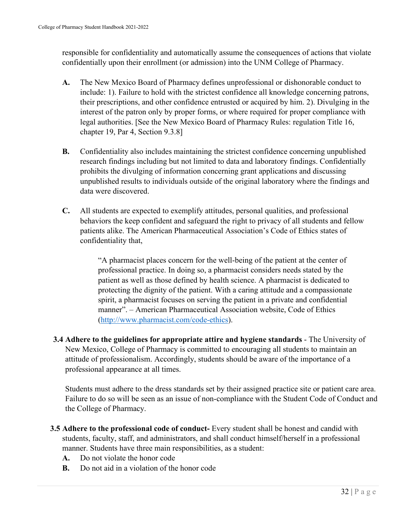responsible for confidentiality and automatically assume the consequences of actions that violate confidentially upon their enrollment (or admission) into the UNM College of Pharmacy.

- **A.** The New Mexico Board of Pharmacy defines unprofessional or dishonorable conduct to include: 1). Failure to hold with the strictest confidence all knowledge concerning patrons, their prescriptions, and other confidence entrusted or acquired by him. 2). Divulging in the interest of the patron only by proper forms, or where required for proper compliance with legal authorities. [See the New Mexico Board of Pharmacy Rules: regulation Title 16, chapter 19, Par 4, Section 9.3.8]
- **B.** Confidentiality also includes maintaining the strictest confidence concerning unpublished research findings including but not limited to data and laboratory findings. Confidentially prohibits the divulging of information concerning grant applications and discussing unpublished results to individuals outside of the original laboratory where the findings and data were discovered.
- **C.** All students are expected to exemplify attitudes, personal qualities, and professional behaviors the keep confident and safeguard the right to privacy of all students and fellow patients alike. The American Pharmaceutical Association's Code of Ethics states of confidentiality that,

"A pharmacist places concern for the well-being of the patient at the center of professional practice. In doing so, a pharmacist considers needs stated by the patient as well as those defined by health science. A pharmacist is dedicated to protecting the dignity of the patient. With a caring attitude and a compassionate spirit, a pharmacist focuses on serving the patient in a private and confidential manner". – American Pharmaceutical Association website, Code of Ethics [\(http://www.pharmacist.com/code-ethics\)](http://www.pharmacist.com/code-ethics).

**3.4 Adhere to the guidelines for appropriate attire and hygiene standards** - The University of New Mexico, College of Pharmacy is committed to encouraging all students to maintain an attitude of professionalism. Accordingly, students should be aware of the importance of a professional appearance at all times.

Students must adhere to the dress standards set by their assigned practice site or patient care area. Failure to do so will be seen as an issue of non-compliance with the Student Code of Conduct and the College of Pharmacy.

- **3.5 Adhere to the professional code of conduct-** Every student shall be honest and candid with students, faculty, staff, and administrators, and shall conduct himself/herself in a professional manner. Students have three main responsibilities, as a student:
	- **A.** Do not violate the honor code
	- **B.** Do not aid in a violation of the honor code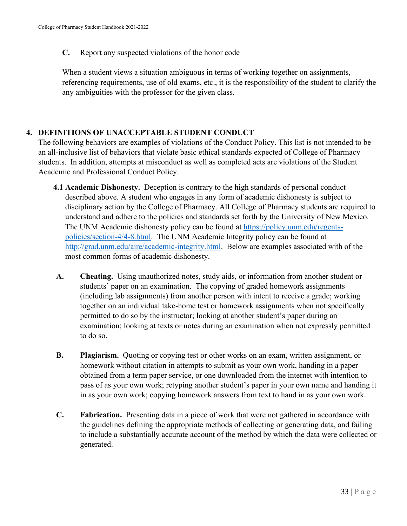**C.** Report any suspected violations of the honor code

When a student views a situation ambiguous in terms of working together on assignments, referencing requirements, use of old exams, etc., it is the responsibility of the student to clarify the any ambiguities with the professor for the given class.

### **4. DEFINITIONS OF UNACCEPTABLE STUDENT CONDUCT**

The following behaviors are examples of violations of the Conduct Policy. This list is not intended to be an all-inclusive list of behaviors that violate basic ethical standards expected of College of Pharmacy students. In addition, attempts at misconduct as well as completed acts are violations of the Student Academic and Professional Conduct Policy.

- **4.1 Academic Dishonesty.** Deception is contrary to the high standards of personal conduct described above. A student who engages in any form of academic dishonesty is subject to disciplinary action by the College of Pharmacy. All College of Pharmacy students are required to understand and adhere to the policies and standards set forth by the University of New Mexico. The UNM Academic dishonesty policy can be found at [https://policy.unm.edu/regents](https://policy.unm.edu/regents-policies/section-4/4-8.html)[policies/section-4/4-8.html.](https://policy.unm.edu/regents-policies/section-4/4-8.html) The UNM Academic Integrity policy can be found at [http://grad.unm.edu/aire/academic-integrity.html.](http://grad.unm.edu/aire/academic-integrity.html) Below are examples associated with of the most common forms of academic dishonesty.
- **A. Cheating.** Using unauthorized notes, study aids, or information from another student or students' paper on an examination. The copying of graded homework assignments (including lab assignments) from another person with intent to receive a grade; working together on an individual take-home test or homework assignments when not specifically permitted to do so by the instructor; looking at another student's paper during an examination; looking at texts or notes during an examination when not expressly permitted to do so.
- **B. Plagiarism.** Quoting or copying test or other works on an exam, written assignment, or homework without citation in attempts to submit as your own work, handing in a paper obtained from a term paper service, or one downloaded from the internet with intention to pass of as your own work; retyping another student's paper in your own name and handing it in as your own work; copying homework answers from text to hand in as your own work.
- **C. Fabrication.** Presenting data in a piece of work that were not gathered in accordance with the guidelines defining the appropriate methods of collecting or generating data, and failing to include a substantially accurate account of the method by which the data were collected or generated.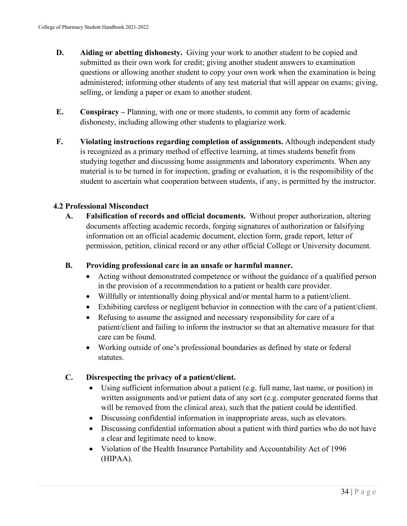- **D. Aiding or abetting dishonesty.** Giving your work to another student to be copied and submitted as their own work for credit; giving another student answers to examination questions or allowing another student to copy your own work when the examination is being administered; informing other students of any test material that will appear on exams; giving, selling, or lending a paper or exam to another student.
- **E. Conspiracy –** Planning, with one or more students, to commit any form of academic dishonesty, including allowing other students to plagiarize work.
- **F. Violating instructions regarding completion of assignments.** Although independent study is recognized as a primary method of effective learning, at times students benefit from studying together and discussing home assignments and laboratory experiments. When any material is to be turned in for inspection, grading or evaluation, it is the responsibility of the student to ascertain what cooperation between students, if any, is permitted by the instructor.

### **4.2 Professional Misconduct**

**A. Falsification of records and official documents.** Without proper authorization, altering documents affecting academic records, forging signatures of authorization or falsifying information on an official academic document, election form, grade report, letter of permission, petition, clinical record or any other official College or University document.

### **B. Providing professional care in an unsafe or harmful manner.**

- Acting without demonstrated competence or without the guidance of a qualified person in the provision of a recommendation to a patient or health care provider.
- Willfully or intentionally doing physical and/or mental harm to a patient/client.
- Exhibiting careless or negligent behavior in connection with the care of a patient/client.
- Refusing to assume the assigned and necessary responsibility for care of a patient/client and failing to inform the instructor so that an alternative measure for that care can be found.
- Working outside of one's professional boundaries as defined by state or federal statutes.

### **C. Disrespecting the privacy of a patient/client.**

- Using sufficient information about a patient (e.g. full name, last name, or position) in written assignments and/or patient data of any sort (e.g. computer generated forms that will be removed from the clinical area), such that the patient could be identified.
- Discussing confidential information in inappropriate areas, such as elevators.
- Discussing confidential information about a patient with third parties who do not have a clear and legitimate need to know.
- Violation of the Health Insurance Portability and Accountability Act of 1996 (HIPAA).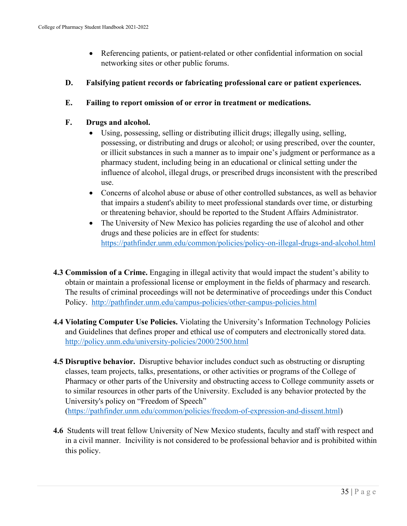- Referencing patients, or patient-related or other confidential information on social networking sites or other public forums.
- **D. Falsifying patient records or fabricating professional care or patient experiences.**
- **E. Failing to report omission of or error in treatment or medications.**
- **F. Drugs and alcohol.**
	- Using, possessing, selling or distributing illicit drugs; illegally using, selling, possessing, or distributing and drugs or alcohol; or using prescribed, over the counter, or illicit substances in such a manner as to impair one's judgment or performance as a pharmacy student, including being in an educational or clinical setting under the influence of alcohol, illegal drugs, or prescribed drugs inconsistent with the prescribed use.
	- Concerns of alcohol abuse or abuse of other controlled substances, as well as behavior that impairs a student's ability to meet professional standards over time, or disturbing or threatening behavior, should be reported to the Student Affairs Administrator.
	- The University of New Mexico has policies regarding the use of alcohol and other drugs and these policies are in effect for students: <https://pathfinder.unm.edu/common/policies/policy-on-illegal-drugs-and-alcohol.html>
- **4.3 Commission of a Crime.** Engaging in illegal activity that would impact the student's ability to obtain or maintain a professional license or employment in the fields of pharmacy and research. The results of criminal proceedings will not be determinative of proceedings under this Conduct Policy. <http://pathfinder.unm.edu/campus-policies/other-campus-policies.html>
- **4.4 Violating Computer Use Policies.** Violating the University's Information Technology Policies and Guidelines that defines proper and ethical use of computers and electronically stored data. <http://policy.unm.edu/university-policies/2000/2500.html>
- **4.5 Disruptive behavior.** Disruptive behavior includes conduct such as obstructing or disrupting classes, team projects, talks, presentations, or other activities or programs of the College of Pharmacy or other parts of the University and obstructing access to College community assets or to similar resources in other parts of the University. Excluded is any behavior protected by the University's policy on "Freedom of Speech" [\(https://pathfinder.unm.edu/common/policies/freedom-of-expression-and-dissent.html\)](https://pathfinder.unm.edu/common/policies/freedom-of-expression-and-dissent.html)
- **4.6** Students will treat fellow University of New Mexico students, faculty and staff with respect and in a civil manner. Incivility is not considered to be professional behavior and is prohibited within this policy.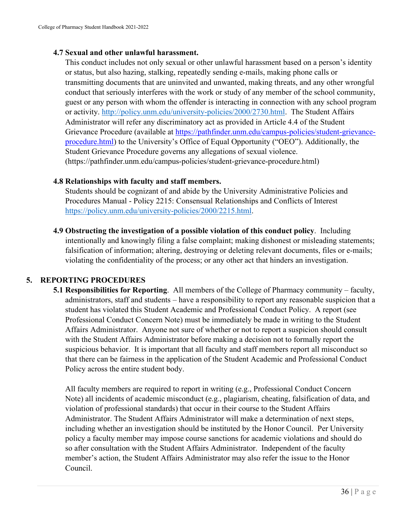#### **4.7 Sexual and other unlawful harassment.**

This conduct includes not only sexual or other unlawful harassment based on a person's identity or status, but also hazing, stalking, repeatedly sending e-mails, making phone calls or transmitting documents that are uninvited and unwanted, making threats, and any other wrongful conduct that seriously interferes with the work or study of any member of the school community, guest or any person with whom the offender is interacting in connection with any school program or activity. [http://policy.unm.edu/university-policies/2000/2730.html.](http://policy.unm.edu/university-policies/2000/2730.html) The Student Affairs Administrator will refer any discriminatory act as provided in Article 4.4 of the Student Grievance Procedure (available at [https://pathfinder.unm.edu/campus-policies/student-grievance](https://pathfinder.unm.edu/campus-policies/student-grievance-procedure.html)[procedure.html\)](https://pathfinder.unm.edu/campus-policies/student-grievance-procedure.html) to the University's Office of Equal Opportunity ("OEO"). Additionally, the Student Grievance Procedure governs any allegations of sexual violence. (https://pathfinder.unm.edu/campus-policies/student-grievance-procedure.html)

#### **4.8 Relationships with faculty and staff members.**

Students should be cognizant of and abide by the University Administrative Policies and Procedures Manual - Policy 2215: Consensual Relationships and Conflicts of Interest [https://policy.unm.edu/university-policies/2000/2215.html.](https://policy.unm.edu/university-policies/2000/2215.html)

**4.9 Obstructing the investigation of a possible violation of this conduct policy**. Including intentionally and knowingly filing a false complaint; making dishonest or misleading statements; falsification of information; altering, destroying or deleting relevant documents, files or e-mails; violating the confidentiality of the process; or any other act that hinders an investigation.

### **5. REPORTING PROCEDURES**

**5.1 Responsibilities for Reporting**. All members of the College of Pharmacy community – faculty, administrators, staff and students – have a responsibility to report any reasonable suspicion that a student has violated this Student Academic and Professional Conduct Policy. A report (see Professional Conduct Concern Note) must be immediately be made in writing to the Student Affairs Administrator. Anyone not sure of whether or not to report a suspicion should consult with the Student Affairs Administrator before making a decision not to formally report the suspicious behavior. It is important that all faculty and staff members report all misconduct so that there can be fairness in the application of the Student Academic and Professional Conduct Policy across the entire student body.

All faculty members are required to report in writing (e.g., Professional Conduct Concern Note) all incidents of academic misconduct (e.g., plagiarism, cheating, falsification of data, and violation of professional standards) that occur in their course to the Student Affairs Administrator. The Student Affairs Administrator will make a determination of next steps, including whether an investigation should be instituted by the Honor Council. Per University policy a faculty member may impose course sanctions for academic violations and should do so after consultation with the Student Affairs Administrator. Independent of the faculty member's action, the Student Affairs Administrator may also refer the issue to the Honor Council.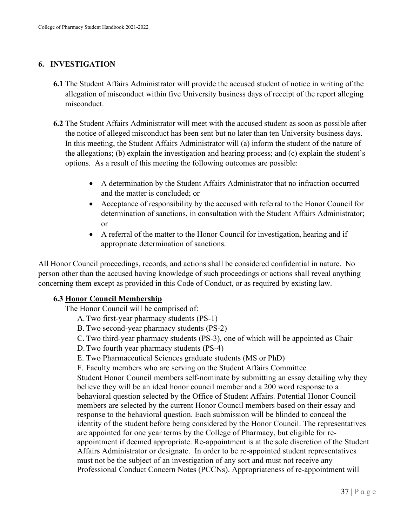### **6. INVESTIGATION**

- **6.1** The Student Affairs Administrator will provide the accused student of notice in writing of the allegation of misconduct within five University business days of receipt of the report alleging misconduct.
- **6.2** The Student Affairs Administrator will meet with the accused student as soon as possible after the notice of alleged misconduct has been sent but no later than ten University business days. In this meeting, the Student Affairs Administrator will (a) inform the student of the nature of the allegations; (b) explain the investigation and hearing process; and (c) explain the student's options. As a result of this meeting the following outcomes are possible:
	- A determination by the Student Affairs Administrator that no infraction occurred and the matter is concluded; or
	- Acceptance of responsibility by the accused with referral to the Honor Council for determination of sanctions, in consultation with the Student Affairs Administrator; or
	- A referral of the matter to the Honor Council for investigation, hearing and if appropriate determination of sanctions.

All Honor Council proceedings, records, and actions shall be considered confidential in nature. No person other than the accused having knowledge of such proceedings or actions shall reveal anything concerning them except as provided in this Code of Conduct, or as required by existing law.

### **6.3 Honor Council Membership**

The Honor Council will be comprised of:

- A.Two first-year pharmacy students (PS-1)
- B. Two second-year pharmacy students (PS-2)
- C. Two third-year pharmacy students (PS-3), one of which will be appointed as Chair
- D.Two fourth year pharmacy students (PS-4)
- E. Two Pharmaceutical Sciences graduate students (MS or PhD)

F. Faculty members who are serving on the Student Affairs Committee Student Honor Council members self-nominate by submitting an essay detailing why they believe they will be an ideal honor council member and a 200 word response to a behavioral question selected by the Office of Student Affairs. Potential Honor Council members are selected by the current Honor Council members based on their essay and response to the behavioral question. Each submission will be blinded to conceal the identity of the student before being considered by the Honor Council. The representatives are appointed for one year terms by the College of Pharmacy, but eligible for reappointment if deemed appropriate. Re-appointment is at the sole discretion of the Student Affairs Administrator or designate. In order to be re-appointed student representatives must not be the subject of an investigation of any sort and must not receive any Professional Conduct Concern Notes (PCCNs). Appropriateness of re-appointment will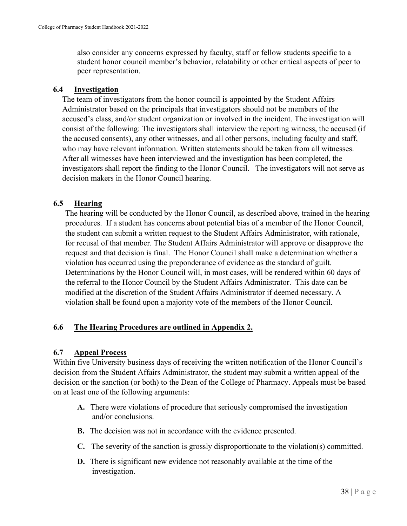also consider any concerns expressed by faculty, staff or fellow students specific to a student honor council member's behavior, relatability or other critical aspects of peer to peer representation.

### **6.4 Investigation**

The team of investigators from the honor council is appointed by the Student Affairs Administrator based on the principals that investigators should not be members of the accused's class, and/or student organization or involved in the incident. The investigation will consist of the following: The investigators shall interview the reporting witness, the accused (if the accused consents), any other witnesses, and all other persons, including faculty and staff, who may have relevant information. Written statements should be taken from all witnesses. After all witnesses have been interviewed and the investigation has been completed, the investigators shall report the finding to the Honor Council. The investigators will not serve as decision makers in the Honor Council hearing.

# **6.5 Hearing**

The hearing will be conducted by the Honor Council, as described above, trained in the hearing procedures. If a student has concerns about potential bias of a member of the Honor Council, the student can submit a written request to the Student Affairs Administrator, with rationale, for recusal of that member. The Student Affairs Administrator will approve or disapprove the request and that decision is final. The Honor Council shall make a determination whether a violation has occurred using the preponderance of evidence as the standard of guilt. Determinations by the Honor Council will, in most cases, will be rendered within 60 days of the referral to the Honor Council by the Student Affairs Administrator. This date can be modified at the discretion of the Student Affairs Administrator if deemed necessary. A violation shall be found upon a majority vote of the members of the Honor Council.

# **6.6 The Hearing Procedures are outlined in Appendix 2.**

# **6.7 Appeal Process**

Within five University business days of receiving the written notification of the Honor Council's decision from the Student Affairs Administrator, the student may submit a written appeal of the decision or the sanction (or both) to the Dean of the College of Pharmacy. Appeals must be based on at least one of the following arguments:

- **A.** There were violations of procedure that seriously compromised the investigation and/or conclusions.
- **B.** The decision was not in accordance with the evidence presented.
- **C.** The severity of the sanction is grossly disproportionate to the violation(s) committed.
- **D.** There is significant new evidence not reasonably available at the time of the investigation.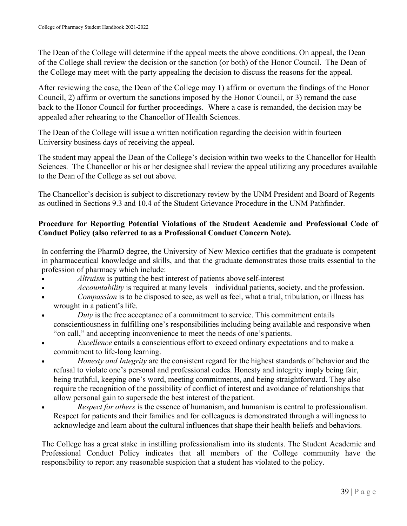The Dean of the College will determine if the appeal meets the above conditions. On appeal, the Dean of the College shall review the decision or the sanction (or both) of the Honor Council. The Dean of the College may meet with the party appealing the decision to discuss the reasons for the appeal.

After reviewing the case, the Dean of the College may 1) affirm or overturn the findings of the Honor Council, 2) affirm or overturn the sanctions imposed by the Honor Council, or 3) remand the case back to the Honor Council for further proceedings. Where a case is remanded, the decision may be appealed after rehearing to the Chancellor of Health Sciences.

The Dean of the College will issue a written notification regarding the decision within fourteen University business days of receiving the appeal.

The student may appeal the Dean of the College's decision within two weeks to the Chancellor for Health Sciences. The Chancellor or his or her designee shall review the appeal utilizing any procedures available to the Dean of the College as set out above.

The Chancellor's decision is subject to discretionary review by the UNM President and Board of Regents as outlined in Sections 9.3 and 10.4 of the Student Grievance Procedure in the UNM Pathfinder.

### **Procedure for Reporting Potential Violations of the Student Academic and Professional Code of Conduct Policy (also referred to as a Professional Conduct Concern Note).**

In conferring the PharmD degree, the University of New Mexico certifies that the graduate is competent in pharmaceutical knowledge and skills, and that the graduate demonstrates those traits essential to the profession of pharmacy which include:

- *Altruism* is putting the best interest of patients above self-interest
- *Accountability* is required at many levels—individual patients, society, and the profession.
- *Compassion* is to be disposed to see, as well as feel, what a trial, tribulation, or illness has wrought in a patient's life.
- *Duty* is the free acceptance of a commitment to service. This commitment entails conscientiousness in fulfilling one's responsibilities including being available and responsive when "on call," and accepting inconvenience to meet the needs of one's patients.
- *Excellence* entails a conscientious effort to exceed ordinary expectations and to make a commitment to life-long learning.
- *Honesty and Integrity* are the consistent regard for the highest standards of behavior and the refusal to violate one's personal and professional codes. Honesty and integrity imply being fair, being truthful, keeping one's word, meeting commitments, and being straightforward. They also require the recognition of the possibility of conflict of interest and avoidance of relationships that allow personal gain to supersede the best interest of the patient.
- *Respect for others* is the essence of humanism, and humanism is central to professionalism. Respect for patients and their families and for colleagues is demonstrated through a willingness to acknowledge and learn about the cultural influences that shape their health beliefs and behaviors.

The College has a great stake in instilling professionalism into its students. The Student Academic and Professional Conduct Policy indicates that all members of the College community have the responsibility to report any reasonable suspicion that a student has violated to the policy.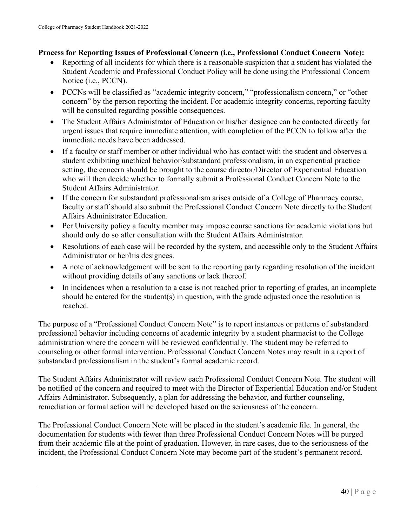#### **Process for Reporting Issues of Professional Concern (i.e., Professional Conduct Concern Note):**

- Reporting of all incidents for which there is a reasonable suspicion that a student has violated the Student Academic and Professional Conduct Policy will be done using the Professional Concern Notice (i.e., PCCN).
- PCCNs will be classified as "academic integrity concern," "professionalism concern," or "other concern" by the person reporting the incident. For academic integrity concerns, reporting faculty will be consulted regarding possible consequences.
- The Student Affairs Administrator of Education or his/her designee can be contacted directly for urgent issues that require immediate attention, with completion of the PCCN to follow after the immediate needs have been addressed.
- If a faculty or staff member or other individual who has contact with the student and observes a student exhibiting unethical behavior/substandard professionalism, in an experiential practice setting, the concern should be brought to the course director/Director of Experiential Education who will then decide whether to formally submit a Professional Conduct Concern Note to the Student Affairs Administrator.
- If the concern for substandard professionalism arises outside of a College of Pharmacy course, faculty or staff should also submit the Professional Conduct Concern Note directly to the Student Affairs Administrator Education.
- Per University policy a faculty member may impose course sanctions for academic violations but should only do so after consultation with the Student Affairs Administrator.
- Resolutions of each case will be recorded by the system, and accessible only to the Student Affairs Administrator or her/his designees.
- A note of acknowledgement will be sent to the reporting party regarding resolution of the incident without providing details of any sanctions or lack thereof.
- In incidences when a resolution to a case is not reached prior to reporting of grades, an incomplete should be entered for the student(s) in question, with the grade adjusted once the resolution is reached.

The purpose of a "Professional Conduct Concern Note" is to report instances or patterns of substandard professional behavior including concerns of academic integrity by a student pharmacist to the College administration where the concern will be reviewed confidentially. The student may be referred to counseling or other formal intervention. Professional Conduct Concern Notes may result in a report of substandard professionalism in the student's formal academic record.

The Student Affairs Administrator will review each Professional Conduct Concern Note. The student will be notified of the concern and required to meet with the Director of Experiential Education and/or Student Affairs Administrator. Subsequently, a plan for addressing the behavior, and further counseling, remediation or formal action will be developed based on the seriousness of the concern.

The Professional Conduct Concern Note will be placed in the student's academic file. In general, the documentation for students with fewer than three Professional Conduct Concern Notes will be purged from their academic file at the point of graduation. However, in rare cases, due to the seriousness of the incident, the Professional Conduct Concern Note may become part of the student's permanent record.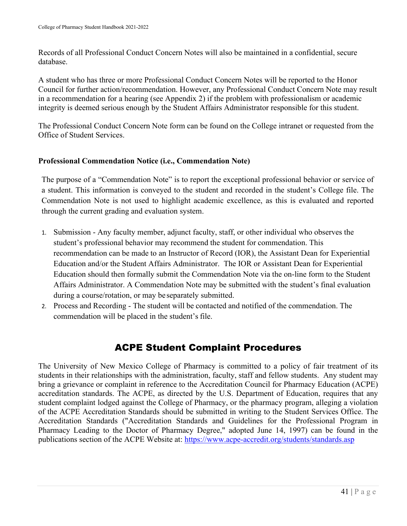Records of all Professional Conduct Concern Notes will also be maintained in a confidential, secure database.

A student who has three or more Professional Conduct Concern Notes will be reported to the Honor Council for further action/recommendation. However, any Professional Conduct Concern Note may result in a recommendation for a hearing (see Appendix 2) if the problem with professionalism or academic integrity is deemed serious enough by the Student Affairs Administrator responsible for this student.

The Professional Conduct Concern Note form can be found on the College intranet or requested from the Office of Student Services.

### **Professional Commendation Notice (i.e., Commendation Note)**

The purpose of a "Commendation Note" is to report the exceptional professional behavior or service of a student. This information is conveyed to the student and recorded in the student's College file. The Commendation Note is not used to highlight academic excellence, as this is evaluated and reported through the current grading and evaluation system.

- 1. Submission Any faculty member, adjunct faculty, staff, or other individual who observes the student's professional behavior may recommend the student for commendation. This recommendation can be made to an Instructor of Record (IOR), the Assistant Dean for Experiential Education and/or the Student Affairs Administrator. The IOR or Assistant Dean for Experiential Education should then formally submit the Commendation Note via the on-line form to the Student Affairs Administrator. A Commendation Note may be submitted with the student's final evaluation during a course/rotation, or may be separately submitted.
- 2. Process and Recording The student will be contacted and notified of the commendation. The commendation will be placed in the student's file.

# ACPE Student Complaint Procedures

The University of New Mexico College of Pharmacy is committed to a policy of fair treatment of its students in their relationships with the administration, faculty, staff and fellow students. Any student may bring a grievance or complaint in reference to the Accreditation Council for Pharmacy Education (ACPE) accreditation standards. The ACPE, as directed by the U.S. Department of Education, requires that any student complaint lodged against the College of Pharmacy, or the pharmacy program, alleging a violation of the ACPE Accreditation Standards should be submitted in writing to the Student Services Office. The Accreditation Standards ("Accreditation Standards and Guidelines for the Professional Program in Pharmacy Leading to the Doctor of Pharmacy Degree," adopted June 14, 1997) can be found in the publications section of the ACPE Website at: <https://www.acpe-accredit.org/students/standards.asp>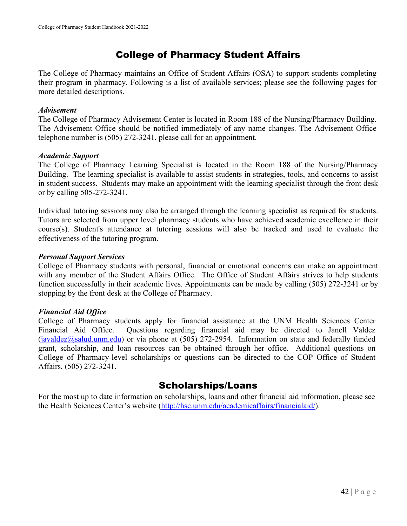# College of Pharmacy Student Affairs

The College of Pharmacy maintains an Office of Student Affairs (OSA) to support students completing their program in pharmacy. Following is a list of available services; please see the following pages for more detailed descriptions.

#### *Advisement*

The College of Pharmacy Advisement Center is located in Room 188 of the Nursing/Pharmacy Building. The Advisement Office should be notified immediately of any name changes. The Advisement Office telephone number is (505) 272-3241, please call for an appointment.

#### *Academic Support*

The College of Pharmacy Learning Specialist is located in the Room 188 of the Nursing/Pharmacy Building. The learning specialist is available to assist students in strategies, tools, and concerns to assist in student success. Students may make an appointment with the learning specialist through the front desk or by calling 505-272-3241.

Individual tutoring sessions may also be arranged through the learning specialist as required for students. Tutors are selected from upper level pharmacy students who have achieved academic excellence in their course(s). Student's attendance at tutoring sessions will also be tracked and used to evaluate the effectiveness of the tutoring program.

#### *Personal Support Services*

College of Pharmacy students with personal, financial or emotional concerns can make an appointment with any member of the Student Affairs Office. The Office of Student Affairs strives to help students function successfully in their academic lives. Appointments can be made by calling (505) 272-3241 or by stopping by the front desk at the College of Pharmacy.

#### *Financial Aid Office*

College of Pharmacy students apply for financial assistance at the UNM Health Sciences Center Financial Aid Office. Questions regarding financial aid may be directed to Janell Valdez  $(iavaldez@salud.unm.edu)$  or via phone at (505) 272-2954. Information on state and federally funded grant, scholarship, and loan resources can be obtained through her office. Additional questions on College of Pharmacy-level scholarships or questions can be directed to the COP Office of Student Affairs, (505) 272-3241.

# Scholarships/Loans

For the most up to date information on scholarships, loans and other financial aid information, please see the Health Sciences Center's website [\(http://hsc.unm.edu/academicaffairs/financialaid/\)](http://hsc.unm.edu/academicaffairs/financialaid/).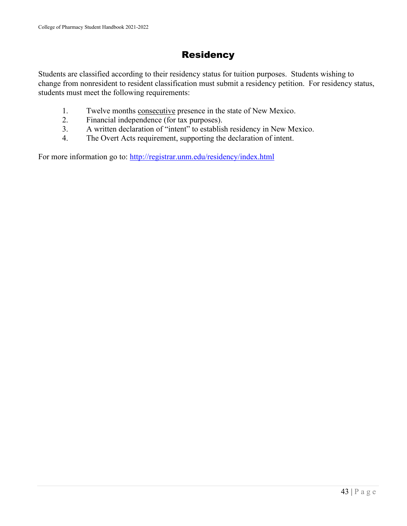# **Residency**

Students are classified according to their residency status for tuition purposes. Students wishing to change from nonresident to resident classification must submit a residency petition. For residency status, students must meet the following requirements:

- 1. Twelve months consecutive presence in the state of New Mexico.
- 2. Financial independence (for tax purposes).
- 3. A written declaration of "intent" to establish residency in New Mexico.
- 4. The Overt Acts requirement, supporting the declaration of intent.

For more information go to:<http://registrar.unm.edu/residency/index.html>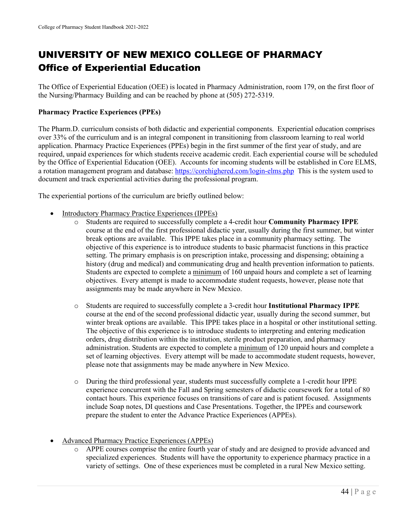# UNIVERSITY OF NEW MEXICO COLLEGE OF PHARMACY Office of Experiential Education

The Office of Experiential Education (OEE) is located in Pharmacy Administration, room 179, on the first floor of the Nursing/Pharmacy Building and can be reached by phone at (505) 272-5319.

#### **Pharmacy Practice Experiences (PPEs)**

The Pharm.D. curriculum consists of both didactic and experiential components. Experiential education comprises over 33% of the curriculum and is an integral component in transitioning from classroom learning to real world application. Pharmacy Practice Experiences (PPEs) begin in the first summer of the first year of study, and are required, unpaid experiences for which students receive academic credit. Each experiential course will be scheduled by the Office of Experiential Education (OEE). Accounts for incoming students will be established in Core ELMS, a rotation management program and database:<https://corehighered.com/login-elms.php>This is the system used to document and track experiential activities during the professional program.

The experiential portions of the curriculum are briefly outlined below:

- Introductory Pharmacy Practice Experiences (IPPEs)
	- o Students are required to successfully complete a 4-credit hour **Community Pharmacy IPPE** course at the end of the first professional didactic year, usually during the first summer, but winter break options are available. This IPPE takes place in a community pharmacy setting. The objective of this experience is to introduce students to basic pharmacist functions in this practice setting. The primary emphasis is on prescription intake, processing and dispensing; obtaining a history (drug and medical) and communicating drug and health prevention information to patients. Students are expected to complete a minimum of 160 unpaid hours and complete a set of learning objectives. Every attempt is made to accommodate student requests, however, please note that assignments may be made anywhere in New Mexico.
	- o Students are required to successfully complete a 3-credit hour **Institutional Pharmacy IPPE** course at the end of the second professional didactic year, usually during the second summer, but winter break options are available. This IPPE takes place in a hospital or other institutional setting. The objective of this experience is to introduce students to interpreting and entering medication orders, drug distribution within the institution, sterile product preparation, and pharmacy administration. Students are expected to complete a minimum of 120 unpaid hours and complete a set of learning objectives. Every attempt will be made to accommodate student requests, however, please note that assignments may be made anywhere in New Mexico.
	- o During the third professional year, students must successfully complete a 1-credit hour IPPE experience concurrent with the Fall and Spring semesters of didactic coursework for a total of 80 contact hours. This experience focuses on transitions of care and is patient focused. Assignments include Soap notes, DI questions and Case Presentations. Together, the IPPEs and coursework prepare the student to enter the Advance Practice Experiences (APPEs).
- Advanced Pharmacy Practice Experiences (APPEs)
	- o APPE courses comprise the entire fourth year of study and are designed to provide advanced and specialized experiences. Students will have the opportunity to experience pharmacy practice in a variety of settings. One of these experiences must be completed in a rural New Mexico setting.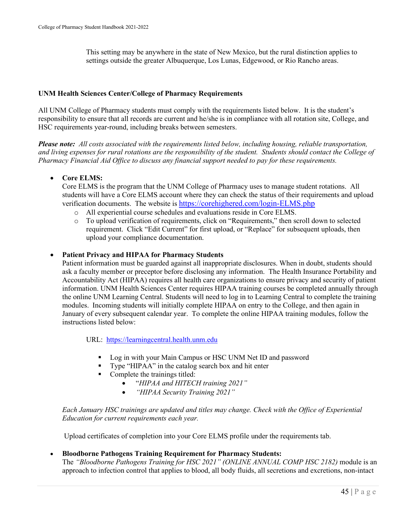This setting may be anywhere in the state of New Mexico, but the rural distinction applies to settings outside the greater Albuquerque, Los Lunas, Edgewood, or Rio Rancho areas.

#### **UNM Health Sciences Center/College of Pharmacy Requirements**

All UNM College of Pharmacy students must comply with the requirements listed below. It is the student's responsibility to ensure that all records are current and he/she is in compliance with all rotation site, College, and HSC requirements year-round, including breaks between semesters.

*Please note: All costs associated with the requirements listed below, including housing, reliable transportation, and living expenses for rural rotations are the responsibility of the student. Students should contact the College of Pharmacy Financial Aid Office to discuss any financial support needed to pay for these requirements.*

• **Core ELMS:** 

Core ELMS is the program that the UNM College of Pharmacy uses to manage student rotations. All students will have a Core ELMS account where they can check the status of their requirements and upload verification documents. The website is [https://corehighered.com/login-ELMS.php](https://corehighered.com/login-elms.php)

- o All experiential course schedules and evaluations reside in Core ELMS.<br>
O To upload verification of requirements, click on "Requirements." then so
- To upload verification of requirements, click on "Requirements," then scroll down to selected requirement. Click "Edit Current" for first upload, or "Replace" for subsequent uploads, then upload your compliance documentation.

#### • **Patient Privacy and HIPAA for Pharmacy Students**

Patient information must be guarded against all inappropriate disclosures. When in doubt, students should ask a faculty member or preceptor before disclosing any information. The Health Insurance Portability and Accountability Act (HIPAA) requires all health care organizations to ensure privacy and security of patient information. UNM Health Sciences Center requires HIPAA training courses be completed annually through the online UNM Learning Central. Students will need to log in to Learning Central to complete the training modules. Incoming students will initially complete HIPAA on entry to the College, and then again in January of every subsequent calendar year. To complete the online HIPAA training modules, follow the instructions listed below:

URL: [https://learningcentral.health.unm.edu](https://learningcentral.health.unm.edu/)

- Log in with your Main Campus or HSC UNM Net ID and password
- Type "HIPAA" in the catalog search box and hit enter
- Complete the trainings titled:
	- "*HIPAA and HITECH training 2021"*
	- *"HIPAA Security Training 2021"*

*Each January HSC trainings are updated and titles may change. Check with the Office of Experiential Education for current requirements each year.*

Upload certificates of completion into your Core ELMS profile under the requirements tab.

#### • **Bloodborne Pathogens Training Requirement for Pharmacy Students:**

The *"Bloodborne Pathogens Training for HSC 2021" (ONLINE ANNUAL COMP HSC 2182)* module is an approach to infection control that applies to blood, all body fluids, all secretions and excretions, non-intact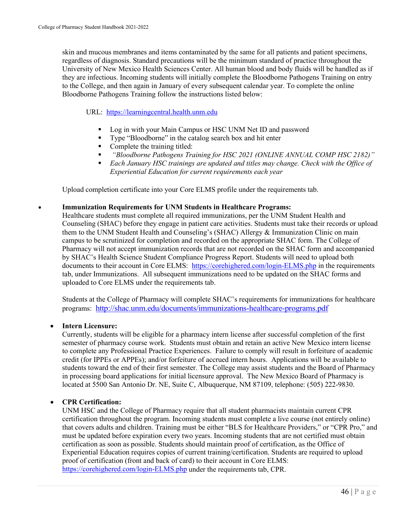skin and mucous membranes and items contaminated by the same for all patients and patient specimens, regardless of diagnosis. Standard precautions will be the minimum standard of practice throughout the University of New Mexico Health Sciences Center. All human blood and body fluids will be handled as if they are infectious. Incoming students will initially complete the Bloodborne Pathogens Training on entry to the College, and then again in January of every subsequent calendar year. To complete the online Bloodborne Pathogens Training follow the instructions listed below:

URL: [https://learningcentral.health.unm.edu](https://learningcentral.health.unm.edu/)

- Log in with your Main Campus or HSC UNM Net ID and password
- Type "Bloodborne" in the catalog search box and hit enter
- Complete the training titled:
- *"Bloodborne Pathogens Training for HSC 2021 (ONLINE ANNUAL COMP HSC 2182)"*
- *Each January HSC trainings are updated and titles may change. Check with the Office of Experiential Education for current requirements each year*

Upload completion certificate into your Core ELMS profile under the requirements tab.

#### • **Immunization Requirements for UNM Students in Healthcare Programs:**

Healthcare students must complete all required immunizations, per the UNM Student Health and Counseling (SHAC) before they engage in patient care activities. Students must take their records or upload them to the UNM Student Health and Counseling's (SHAC) Allergy & Immunization Clinic on main campus to be scrutinized for completion and recorded on the appropriate SHAC form. The College of Pharmacy will not accept immunization records that are not recorded on the SHAC form and accompanied by SHAC's Health Science Student Compliance Progress Report. Students will need to upload both documents to their account in Core ELMS: [https://corehighered.com/login-ELMS.php](https://corehighered.com/login-elms.php) in the requirements tab, under Immunizations. All subsequent immunizations need to be updated on the SHAC forms and uploaded to Core ELMS under the requirements tab.

Students at the College of Pharmacy will complete SHAC's requirements for immunizations for healthcare programs:<http://shac.unm.edu/documents/immunizations-healthcare-programs.pdf>

#### • **Intern Licensure:**

Currently, students will be eligible for a pharmacy intern license after successful completion of the first semester of pharmacy course work. Students must obtain and retain an active New Mexico intern license to complete any Professional Practice Experiences. Failure to comply will result in forfeiture of academic credit (for IPPEs or APPEs); and/or forfeiture of accrued intern hours. Applications will be available to students toward the end of their first semester. The College may assist students and the Board of Pharmacy in processing board applications for initial licensure approval. The New Mexico Board of Pharmacy is located at 5500 San Antonio Dr. NE, Suite C, Albuquerque, NM 87109, telephone: (505) 222-9830.

#### • **CPR Certification:**

UNM HSC and the College of Pharmacy require that all student pharmacists maintain current CPR certification throughout the program. Incoming students must complete a live course (not entirely online) that covers adults and children. Training must be either "BLS for Healthcare Providers," or "CPR Pro," and must be updated before expiration every two years. Incoming students that are not certified must obtain certification as soon as possible. Students should maintain proof of certification, as the Office of Experiential Education requires copies of current training/certification. Students are required to upload proof of certification (front and back of card) to their account in Core ELMS: [https://corehighered.com/login-ELMS.php](https://corehighered.com/login-elms.php) under the requirements tab, CPR.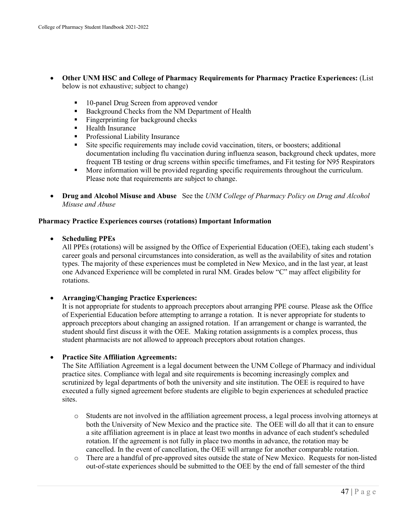- **Other UNM HSC and College of Pharmacy Requirements for Pharmacy Practice Experiences:** (List below is not exhaustive; subject to change)
	- 10-panel Drug Screen from approved vendor
	- Background Checks from the NM Department of Health
	- Fingerprinting for background checks
	- **Health Insurance**
	- Professional Liability Insurance<br>• Site specific requirements may if
	- Site specific requirements may include covid vaccination, titers, or boosters; additional documentation including flu vaccination during influenza season, background check updates, more frequent TB testing or drug screens within specific timeframes, and Fit testing for N95 Respirators
	- **More information will be provided regarding specific requirements throughout the curriculum.** Please note that requirements are subject to change.
- **Drug and Alcohol Misuse and Abuse** See the *UNM College of Pharmacy Policy on Drug and Alcohol Misuse and Abuse*

#### **Pharmacy Practice Experiences courses (rotations) Important Information**

• **Scheduling PPEs**

All PPEs (rotations) will be assigned by the Office of Experiential Education (OEE), taking each student's career goals and personal circumstances into consideration, as well as the availability of sites and rotation types. The majority of these experiences must be completed in New Mexico, and in the last year, at least one Advanced Experience will be completed in rural NM. Grades below "C" may affect eligibility for rotations.

#### • **Arranging/Changing Practice Experiences:**

It is not appropriate for students to approach preceptors about arranging PPE course. Please ask the Office of Experiential Education before attempting to arrange a rotation. It is never appropriate for students to approach preceptors about changing an assigned rotation. If an arrangement or change is warranted, the student should first discuss it with the OEE. Making rotation assignments is a complex process, thus student pharmacists are not allowed to approach preceptors about rotation changes.

#### • **Practice Site Affiliation Agreements:**

The Site Affiliation Agreement is a legal document between the UNM College of Pharmacy and individual practice sites. Compliance with legal and site requirements is becoming increasingly complex and scrutinized by legal departments of both the university and site institution. The OEE is required to have executed a fully signed agreement before students are eligible to begin experiences at scheduled practice sites.

- o Students are not involved in the affiliation agreement process, a legal process involving attorneys at both the University of New Mexico and the practice site. The OEE will do all that it can to ensure a site affiliation agreement is in place at least two months in advance of each student's scheduled rotation. If the agreement is not fully in place two months in advance, the rotation may be cancelled. In the event of cancellation, the OEE will arrange for another comparable rotation.
- o There are a handful of pre-approved sites outside the state of New Mexico. Requests for non-listed out-of-state experiences should be submitted to the OEE by the end of fall semester of the third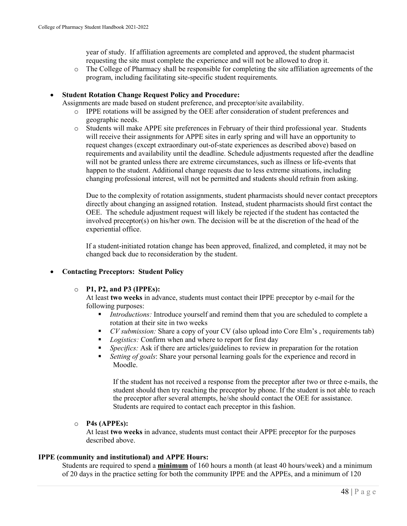year of study. If affiliation agreements are completed and approved, the student pharmacist requesting the site must complete the experience and will not be allowed to drop it.

o The College of Pharmacy shall be responsible for completing the site affiliation agreements of the program, including facilitating site-specific student requirements.

#### • **Student Rotation Change Request Policy and Procedure:**

Assignments are made based on student preference, and preceptor/site availability.

- o IPPE rotations will be assigned by the OEE after consideration of student preferences and geographic needs.
- o Students will make APPE site preferences in February of their third professional year. Students will receive their assignments for APPE sites in early spring and will have an opportunity to request changes (except extraordinary out-of-state experiences as described above) based on requirements and availability until the deadline. Schedule adjustments requested after the deadline will not be granted unless there are extreme circumstances, such as illness or life-events that happen to the student. Additional change requests due to less extreme situations, including changing professional interest, will not be permitted and students should refrain from asking.

Due to the complexity of rotation assignments, student pharmacists should never contact preceptors directly about changing an assigned rotation. Instead, student pharmacists should first contact the OEE. The schedule adjustment request will likely be rejected if the student has contacted the involved preceptor(s) on his/her own. The decision will be at the discretion of the head of the experiential office.

If a student-initiated rotation change has been approved, finalized, and completed, it may not be changed back due to reconsideration by the student.

#### • **Contacting Preceptors: Student Policy**

#### o **P1, P2, and P3 (IPPEs):**

At least **two weeks** in advance, students must contact their IPPE preceptor by e-mail for the following purposes:

- *Introductions:* Introduce yourself and remind them that you are scheduled to complete a rotation at their site in two weeks
- *CV submission:* Share a copy of your CV (also upload into Core Elm's , requirements tab)
- *Logistics:* Confirm when and where to report for first day
- *Specifics:* Ask if there are articles/guidelines to review in preparation for the rotation
- *Setting of goals*: Share your personal learning goals for the experience and record in Moodle.

If the student has not received a response from the preceptor after two or three e-mails, the student should then try reaching the preceptor by phone. If the student is not able to reach the preceptor after several attempts, he/she should contact the OEE for assistance. Students are required to contact each preceptor in this fashion.

#### o **P4s (APPEs):**

At least **two weeks** in advance, students must contact their APPE preceptor for the purposes described above.

#### **IPPE (community and institutional) and APPE Hours:**

Students are required to spend a **minimum** of 160 hours a month (at least 40 hours/week) and a minimum of 20 days in the practice setting for both the community IPPE and the APPEs, and a minimum of 120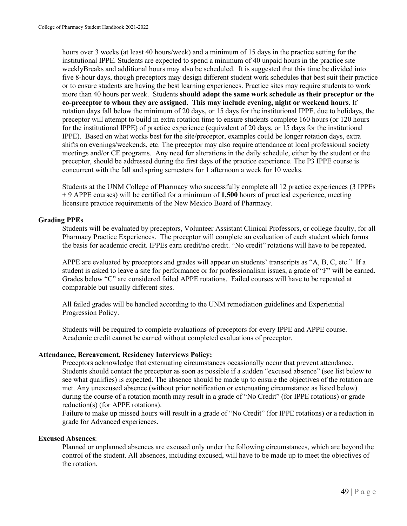hours over 3 weeks (at least 40 hours/week) and a minimum of 15 days in the practice setting for the institutional IPPE. Students are expected to spend a minimum of 40 unpaid hours in the practice site weeklyBreaks and additional hours may also be scheduled. It is suggested that this time be divided into five 8-hour days, though preceptors may design different student work schedules that best suit their practice or to ensure students are having the best learning experiences. Practice sites may require students to work more than 40 hours per week. Students **should adopt the same work schedule as their preceptor or the co-preceptor to whom they are assigned. This may include evening, night or weekend hours.** If rotation days fall below the minimum of 20 days, or 15 days for the institutional IPPE, due to holidays, the preceptor will attempt to build in extra rotation time to ensure students complete 160 hours (or 120 hours for the institutional IPPE) of practice experience (equivalent of 20 days, or 15 days for the institutional IPPE). Based on what works best for the site/preceptor, examples could be longer rotation days, extra shifts on evenings/weekends, etc. The preceptor may also require attendance at local professional society meetings and/or CE programs. Any need for alterations in the daily schedule, either by the student or the preceptor, should be addressed during the first days of the practice experience. The P3 IPPE course is concurrent with the fall and spring semesters for 1 afternoon a week for 10 weeks.

Students at the UNM College of Pharmacy who successfully complete all 12 practice experiences (3 IPPEs + 9 APPE courses) will be certified for a minimum of **1,500** hours of practical experience, meeting licensure practice requirements of the New Mexico Board of Pharmacy.

#### **Grading PPEs**

Students will be evaluated by preceptors, Volunteer Assistant Clinical Professors, or college faculty, for all Pharmacy Practice Experiences. The preceptor will complete an evaluation of each student which forms the basis for academic credit. IPPEs earn credit/no credit. "No credit" rotations will have to be repeated.

APPE are evaluated by preceptors and grades will appear on students' transcripts as "A, B, C, etc." If a student is asked to leave a site for performance or for professionalism issues, a grade of "F" will be earned. Grades below "C" are considered failed APPE rotations. Failed courses will have to be repeated at comparable but usually different sites.

All failed grades will be handled according to the UNM remediation guidelines and Experiential Progression Policy.

Students will be required to complete evaluations of preceptors for every IPPE and APPE course. Academic credit cannot be earned without completed evaluations of preceptor.

#### **Attendance, Bereavement, Residency Interviews Policy:**

Preceptors acknowledge that extenuating circumstances occasionally occur that prevent attendance. Students should contact the preceptor as soon as possible if a sudden "excused absence" (see list below to see what qualifies) is expected. The absence should be made up to ensure the objectives of the rotation are met. Any unexcused absence (without prior notification or extenuating circumstance as listed below) during the course of a rotation month may result in a grade of "No Credit" (for IPPE rotations) or grade reduction(s) (for APPE rotations).

Failure to make up missed hours will result in a grade of "No Credit" (for IPPE rotations) or a reduction in grade for Advanced experiences.

#### **Excused Absences**:

Planned or unplanned absences are excused only under the following circumstances, which are beyond the control of the student. All absences, including excused, will have to be made up to meet the objectives of the rotation.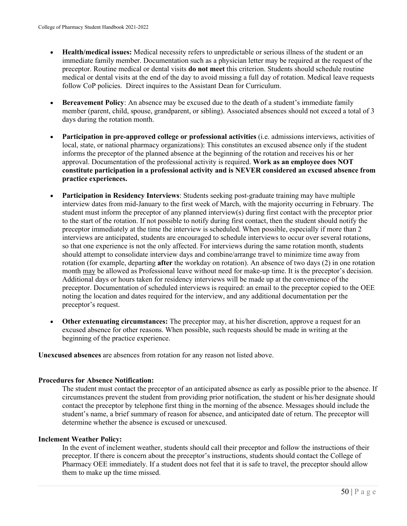- **Health/medical issues:** Medical necessity refers to unpredictable or serious illness of the student or an immediate family member. Documentation such as a physician letter may be required at the request of the preceptor. Routine medical or dental visits **do not meet** this criterion. Students should schedule routine medical or dental visits at the end of the day to avoid missing a full day of rotation. Medical leave requests follow CoP policies. Direct inquires to the Assistant Dean for Curriculum.
- **Bereavement Policy**: An absence may be excused due to the death of a student's immediate family member (parent, child, spouse, grandparent, or sibling). Associated absences should not exceed a total of 3 days during the rotation month.
- **Participation in pre-approved college or professional activities** (i.e. admissions interviews, activities of local, state, or national pharmacy organizations): This constitutes an excused absence only if the student informs the preceptor of the planned absence at the beginning of the rotation and receives his or her approval. Documentation of the professional activity is required. **Work as an employee does NOT constitute participation in a professional activity and is NEVER considered an excused absence from practice experiences.**
- **Participation in Residency Interviews**: Students seeking post-graduate training may have multiple interview dates from mid-January to the first week of March, with the majority occurring in February. The student must inform the preceptor of any planned interview(s) during first contact with the preceptor prior to the start of the rotation. If not possible to notify during first contact, then the student should notify the preceptor immediately at the time the interview is scheduled. When possible, especially if more than 2 interviews are anticipated, students are encouraged to schedule interviews to occur over several rotations, so that one experience is not the only affected. For interviews during the same rotation month, students should attempt to consolidate interview days and combine/arrange travel to minimize time away from rotation (for example, departing **after** the workday on rotation). An absence of two days (2) in one rotation month may be allowed as Professional leave without need for make-up time. It is the preceptor's decision. Additional days or hours taken for residency interviews will be made up at the convenience of the preceptor. Documentation of scheduled interviews is required: an email to the preceptor copied to the OEE noting the location and dates required for the interview, and any additional documentation per the preceptor's request.
- **Other extenuating circumstances:** The preceptor may, at his/her discretion, approve a request for an excused absence for other reasons. When possible, such requests should be made in writing at the beginning of the practice experience.

**Unexcused absences** are absences from rotation for any reason not listed above.

#### **Procedures for Absence Notification:**

The student must contact the preceptor of an anticipated absence as early as possible prior to the absence. If circumstances prevent the student from providing prior notification, the student or his/her designate should contact the preceptor by telephone first thing in the morning of the absence. Messages should include the student's name, a brief summary of reason for absence, and anticipated date of return. The preceptor will determine whether the absence is excused or unexcused.

#### **Inclement Weather Policy:**

In the event of inclement weather, students should call their preceptor and follow the instructions of their preceptor. If there is concern about the preceptor's instructions, students should contact the College of Pharmacy OEE immediately. If a student does not feel that it is safe to travel, the preceptor should allow them to make up the time missed.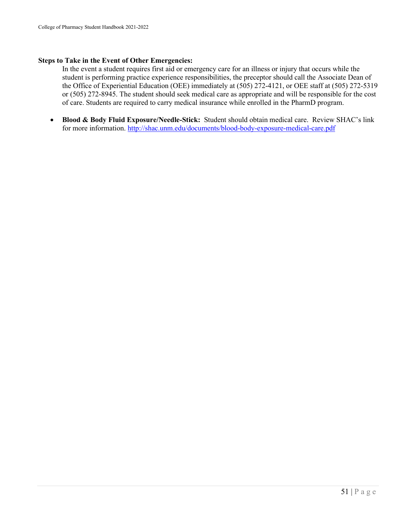#### **Steps to Take in the Event of Other Emergencies:**

In the event a student requires first aid or emergency care for an illness or injury that occurs while the student is performing practice experience responsibilities, the preceptor should call the Associate Dean of the Office of Experiential Education (OEE) immediately at (505) 272-4121, or OEE staff at (505) 272-5319 or (505) 272-8945. The student should seek medical care as appropriate and will be responsible for the cost of care. Students are required to carry medical insurance while enrolled in the PharmD program.

• **Blood & Body Fluid Exposure/Needle-Stick:** Student should obtain medical care. Review SHAC's link for more information.<http://shac.unm.edu/documents/blood-body-exposure-medical-care.pdf>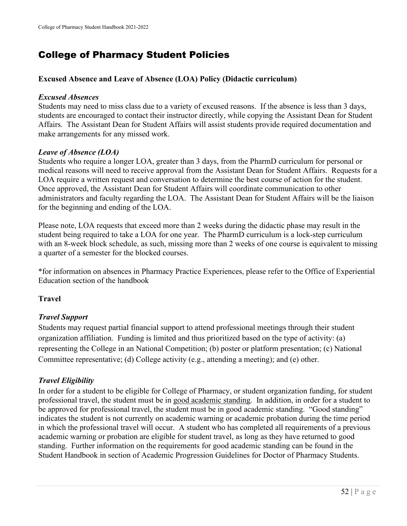# College of Pharmacy Student Policies

#### **Excused Absence and Leave of Absence (LOA) Policy (Didactic curriculum)**

#### *Excused Absences*

Students may need to miss class due to a variety of excused reasons. If the absence is less than 3 days, students are encouraged to contact their instructor directly, while copying the Assistant Dean for Student Affairs. The Assistant Dean for Student Affairs will assist students provide required documentation and make arrangements for any missed work.

#### *Leave of Absence (LOA)*

Students who require a longer LOA, greater than 3 days, from the PharmD curriculum for personal or medical reasons will need to receive approval from the Assistant Dean for Student Affairs. Requests for a LOA require a written request and conversation to determine the best course of action for the student. Once approved, the Assistant Dean for Student Affairs will coordinate communication to other administrators and faculty regarding the LOA. The Assistant Dean for Student Affairs will be the liaison for the beginning and ending of the LOA.

Please note, LOA requests that exceed more than 2 weeks during the didactic phase may result in the student being required to take a LOA for one year. The PharmD curriculum is a lock-step curriculum with an 8-week block schedule, as such, missing more than 2 weeks of one course is equivalent to missing a quarter of a semester for the blocked courses.

\*for information on absences in Pharmacy Practice Experiences, please refer to the Office of Experiential Education section of the handbook

### **Travel**

### *Travel Support*

Students may request partial financial support to attend professional meetings through their student organization affiliation. Funding is limited and thus prioritized based on the type of activity: (a) representing the College in an National Competition; (b) poster or platform presentation; (c) National Committee representative; (d) College activity (e.g., attending a meeting); and (e) other.

### *Travel Eligibility*

In order for a student to be eligible for College of Pharmacy, or student organization funding, for student professional travel, the student must be in good academic standing. In addition, in order for a student to be approved for professional travel, the student must be in good academic standing. "Good standing" indicates the student is not currently on academic warning or academic probation during the time period in which the professional travel will occur. A student who has completed all requirements of a previous academic warning or probation are eligible for student travel, as long as they have returned to good standing. Further information on the requirements for good academic standing can be found in the Student Handbook in section of Academic Progression Guidelines for Doctor of Pharmacy Students.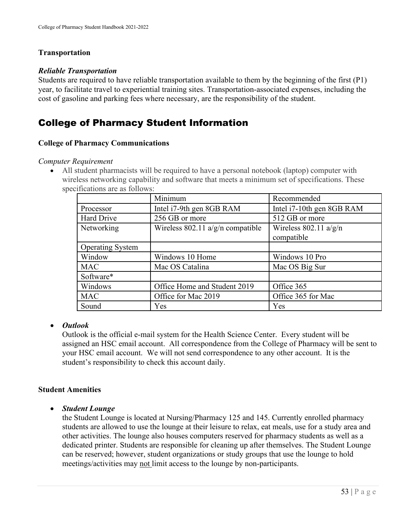### **Transportation**

#### *Reliable Transportation*

Students are required to have reliable transportation available to them by the beginning of the first (P1) year, to facilitate travel to experiential training sites. Transportation-associated expenses, including the cost of gasoline and parking fees where necessary, are the responsibility of the student.

# College of Pharmacy Student Information

#### **College of Pharmacy Communications**

#### *Computer Requirement*

• All student pharmacists will be required to have a personal notebook (laptop) computer with wireless networking capability and software that meets a minimum set of specifications. These specifications are as follows:

|                         | Minimum                            | Recommended               |
|-------------------------|------------------------------------|---------------------------|
| Processor               | Intel i7-9th gen 8GB RAM           | Intel i7-10th gen 8GB RAM |
| Hard Drive              | 256 GB or more                     | 512 GB or more            |
| Networking              | Wireless $802.11$ a/g/n compatible | Wireless $802.11 a/g/n$   |
|                         |                                    | compatible                |
| <b>Operating System</b> |                                    |                           |
| Window                  | Windows 10 Home                    | Windows 10 Pro            |
| <b>MAC</b>              | Mac OS Catalina                    | Mac OS Big Sur            |
| Software*               |                                    |                           |
| Windows                 | Office Home and Student 2019       | Office 365                |
| <b>MAC</b>              | Office for Mac 2019                | Office 365 for Mac        |
| Sound                   | Yes                                | Yes                       |

#### • *Outlook*

Outlook is the official e-mail system for the Health Science Center. Every student will be assigned an HSC email account. All correspondence from the College of Pharmacy will be sent to your HSC email account. We will not send correspondence to any other account. It is the student's responsibility to check this account daily.

### **Student Amenities**

#### • *Student Lounge*

the Student Lounge is located at Nursing/Pharmacy 125 and 145. Currently enrolled pharmacy students are allowed to use the lounge at their leisure to relax, eat meals, use for a study area and other activities. The lounge also houses computers reserved for pharmacy students as well as a dedicated printer. Students are responsible for cleaning up after themselves. The Student Lounge can be reserved; however, student organizations or study groups that use the lounge to hold meetings/activities may not limit access to the lounge by non-participants.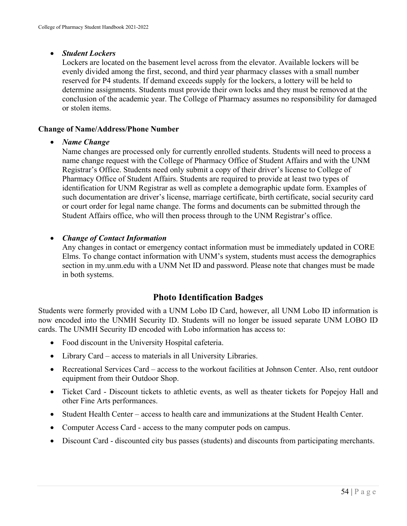### • *Student Lockers*

Lockers are located on the basement level across from the elevator. Available lockers will be evenly divided among the first, second, and third year pharmacy classes with a small number reserved for P4 students. If demand exceeds supply for the lockers, a lottery will be held to determine assignments. Students must provide their own locks and they must be removed at the conclusion of the academic year. The College of Pharmacy assumes no responsibility for damaged or stolen items.

#### **Change of Name/Address/Phone Number**

#### • *Name Change*

Name changes are processed only for currently enrolled students. Students will need to process a name change request with the College of Pharmacy Office of Student Affairs and with the UNM Registrar's Office. Students need only submit a copy of their driver's license to College of Pharmacy Office of Student Affairs. Students are required to provide at least two types of identification for UNM Registrar as well as complete a demographic update form. Examples of such documentation are driver's license, marriage certificate, birth certificate, social security card or court order for legal name change. The forms and documents can be submitted through the Student Affairs office, who will then process through to the UNM Registrar's office.

### • *Change of Contact Information*

Any changes in contact or emergency contact information must be immediately updated in CORE Elms. To change contact information with UNM's system, students must access the demographics section in my.unm.edu with a UNM Net ID and password. Please note that changes must be made in both systems.

# **Photo Identification Badges**

Students were formerly provided with a UNM Lobo ID Card, however, all UNM Lobo ID information is now encoded into the UNMH Security ID. Students will no longer be issued separate UNM LOBO ID cards. The UNMH Security ID encoded with Lobo information has access to:

- Food discount in the University Hospital cafeteria.
- Library Card access to materials in all University Libraries.
- Recreational Services Card access to the workout facilities at Johnson Center. Also, rent outdoor equipment from their Outdoor Shop.
- Ticket Card Discount tickets to athletic events, as well as theater tickets for Popejoy Hall and other Fine Arts performances.
- Student Health Center access to health care and immunizations at the Student Health Center.
- Computer Access Card access to the many computer pods on campus.
- Discount Card discounted city bus passes (students) and discounts from participating merchants.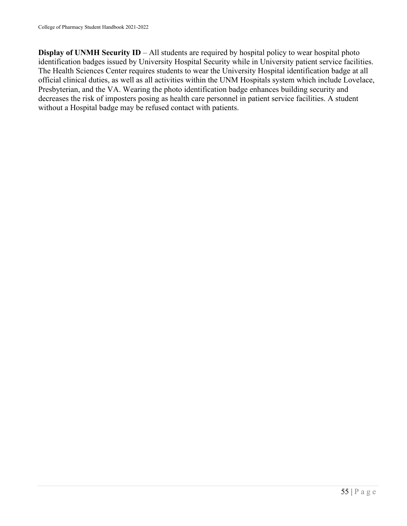**Display of UNMH Security ID** – All students are required by hospital policy to wear hospital photo identification badges issued by University Hospital Security while in University patient service facilities. The Health Sciences Center requires students to wear the University Hospital identification badge at all official clinical duties, as well as all activities within the UNM Hospitals system which include Lovelace, Presbyterian, and the VA. Wearing the photo identification badge enhances building security and decreases the risk of imposters posing as health care personnel in patient service facilities. A student without a Hospital badge may be refused contact with patients.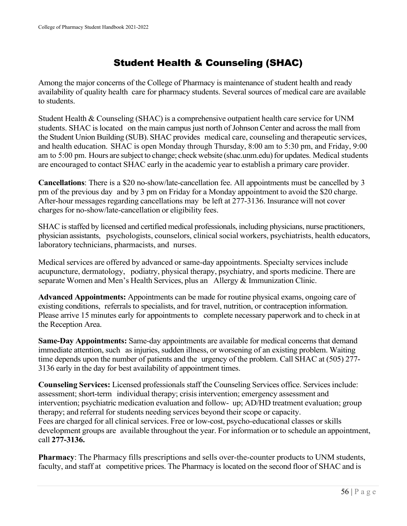# Student Health & Counseling (SHAC)

Among the major concerns of the College of Pharmacy is maintenance of student health and ready availability of quality health care for pharmacy students. Several sources of medical care are available to students.

Student Health & Counseling (SHAC) is a comprehensive outpatient health care service for UNM students. SHAC is located on the main campus just north of Johnson Center and across the mall from the Student Union Building (SUB). SHAC provides medical care, counseling and therapeutic services, and health education. SHAC is open Monday through Thursday, 8:00 am to 5:30 pm, and Friday, 9:00 am to 5:00 pm. Hours are subject to change; check website (shac.unm.edu) for updates. Medical students are encouraged to contact SHAC early in the academic year to establish a primary care provider.

**Cancellations**: There is a \$20 no-show/late-cancellation fee. All appointments must be cancelled by 3 pm of the previous day and by 3 pm on Friday for a Monday appointment to avoid the \$20 charge. After-hour messages regarding cancellations may be left at 277-3136. Insurance will not cover charges for no-show/late-cancellation or eligibility fees.

SHAC is staffed by licensed and certified medical professionals, including physicians, nurse practitioners, physician assistants, psychologists, counselors, clinical social workers, psychiatrists, health educators, laboratory technicians, pharmacists, and nurses.

Medical services are offered by advanced or same-day appointments. Specialty services include acupuncture, dermatology, podiatry, physical therapy, psychiatry, and sports medicine. There are separate Women and Men's Health Services, plus an Allergy & Immunization Clinic.

**Advanced Appointments:** Appointments can be made for routine physical exams, ongoing care of existing conditions, referrals to specialists, and for travel, nutrition, or contraception information. Please arrive 15 minutes early for appointments to complete necessary paperwork and to check in at the Reception Area.

**Same-Day Appointments:** Same-day appointments are available for medical concerns that demand immediate attention, such as injuries, sudden illness, or worsening of an existing problem. Waiting time depends upon the number of patients and the urgency of the problem. Call SHAC at (505) 277- 3136 early in the day for best availability of appointment times.

**Counseling Services:** Licensed professionals staff the Counseling Services office. Services include: assessment; short-term individual therapy; crisisintervention; emergency assessment and intervention; psychiatric medication evaluation and follow- up; AD/HD treatment evaluation; group therapy; and referral for students needing services beyond their scope or capacity. Fees are charged for all clinical services. Free or low-cost, psycho-educational classes or skills development groups are available throughout the year. For information or to schedule an appointment, call **277-3136.**

**Pharmacy**: The Pharmacy fills prescriptions and sells over-the-counter products to UNM students, faculty, and staff at competitive prices. The Pharmacy is located on the second floor of SHAC and is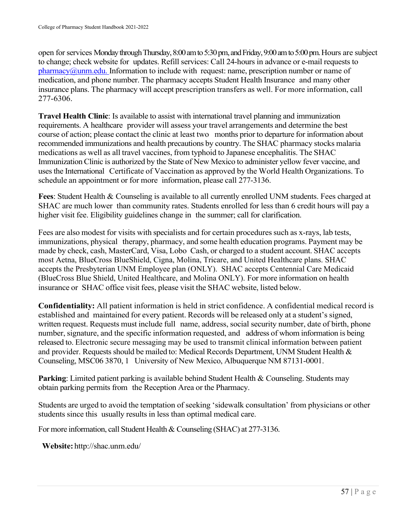open for services Monday through Thursday, 8:00 am to 5:30 pm, and Friday, 9:00 am to 5:00 pm. Hours are subject to change; check website for updates. Refill services: Call 24-hours in advance or e-mail requests to  $pharmacy@$ unm.edu. Information to include with request: name, prescription number or name of medication, and phone number. The pharmacy accepts Student Health Insurance and many other insurance plans. The pharmacy will accept prescription transfers as well. For more information, call 277-6306.

**Travel Health Clinic**: Is available to assist with international travel planning and immunization requirements. A healthcare provider will assess your travel arrangements and determine the best course of action; please contact the clinic at least two months prior to departure for information about recommended immunizations and health precautions by country. The SHAC pharmacy stocks malaria medications as well as all travel vaccines, from typhoid to Japanese encephalitis. The SHAC Immunization Clinic is authorized by the State of New Mexico to administer yellow fever vaccine, and usesthe International Certificate of Vaccination as approved by the World Health Organizations. To schedule an appointment or for more information, please call 277-3136.

**Fees**: Student Health & Counseling is available to all currently enrolled UNM students. Fees charged at SHAC are much lower than community rates. Students enrolled for less than 6 credit hours will pay a higher visit fee. Eligibility guidelines change in the summer; call for clarification.

Fees are also modest for visits with specialists and for certain procedures such as x-rays, lab tests, immunizations, physical therapy, pharmacy, and some health education programs. Payment may be made by check, cash, MasterCard, Visa, Lobo Cash, or charged to a student account. SHAC accepts most Aetna, BlueCross BlueShield, Cigna, Molina, Tricare, and United Healthcare plans. SHAC accepts the Presbyterian UNM Employee plan (ONLY). SHAC accepts Centennial Care Medicaid (BlueCross Blue Shield, United Healthcare, and Molina ONLY). For more information on health insurance or SHAC office visit fees, please visit the SHAC website, listed below.

**Confidentiality:** All patient information is held in strict confidence. A confidential medical record is established and maintained for every patient. Records will be released only at a student's signed, written request. Requests must include full name, address, social security number, date of birth, phone number, signature, and the specific information requested, and address of whom information is being released to. Electronic secure messaging may be used to transmit clinical information between patient and provider. Requests should be mailed to: Medical Records Department, UNM Student Health & Counseling, MSC06 3870, 1 University of New Mexico, Albuquerque NM 87131-0001.

**Parking**: Limited patient parking is available behind Student Health & Counseling. Students may obtain parking permits from the Reception Area or the Pharmacy.

Students are urged to avoid the temptation of seeking 'sidewalk consultation' from physicians or other students since this usually results in less than optimal medical care.

For more information, call Student Health & Counseling (SHAC) at 277-3136.

**Website:** <http://shac.unm.edu/>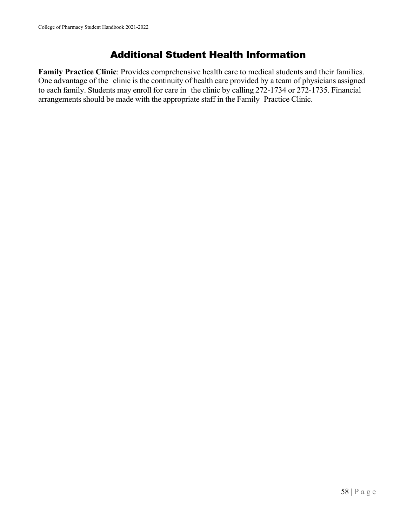# Additional Student Health Information

**Family Practice Clinic**: Provides comprehensive health care to medical students and their families. One advantage of the clinic is the continuity of health care provided by a team of physicians assigned to each family. Students may enroll for care in the clinic by calling 272-1734 or 272-1735. Financial arrangements should be made with the appropriate staff in the Family Practice Clinic.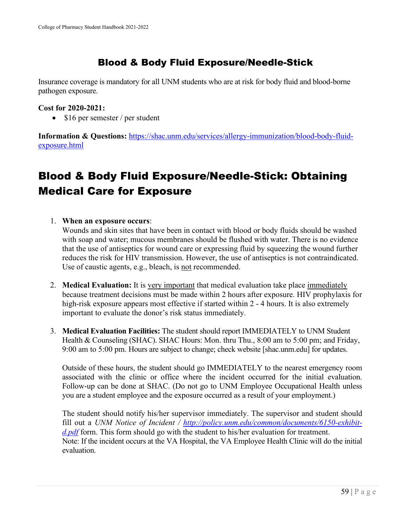# Blood & Body Fluid Exposure/Needle-Stick

Insurance coverage is mandatory for all UNM students who are at risk for body fluid and blood-borne pathogen exposure.

#### **Cost for 2020-2021:**

• \$16 per semester / per student

**Information & Questions:** [https://shac.unm.edu/services/allergy-immunization/blood-body-fluid](https://shac.unm.edu/services/allergy-immunization/blood-body-fluid-exposure.html)[exposure.html](https://shac.unm.edu/services/allergy-immunization/blood-body-fluid-exposure.html)

# Blood & Body Fluid Exposure/Needle-Stick: Obtaining Medical Care for Exposure

1. **When an exposure occurs**:

Wounds and skin sites that have been in contact with blood or body fluids should be washed with soap and water; mucous membranes should be flushed with water. There is no evidence that the use of antiseptics for wound care or expressing fluid by squeezing the wound further reduces the risk for HIV transmission. However, the use of antiseptics is not contraindicated. Use of caustic agents, e.g., bleach, is not recommended.

- 2. **Medical Evaluation:** It is very important that medical evaluation take place immediately because treatment decisions must be made within 2 hours after exposure. HIV prophylaxis for high-risk exposure appears most effective if started within 2 - 4 hours. It is also extremely important to evaluate the donor's risk status immediately.
- 3. **Medical Evaluation Facilities:** The student should report IMMEDIATELY to UNM Student Health & Counseling (SHAC). SHAC Hours: Mon. thru Thu., 8:00 am to 5:00 pm; and Friday, 9:00 am to 5:00 pm. Hours are subject to change; check website [shac.unm.edu] for updates.

Outside of these hours, the student should go IMMEDIATELY to the nearest emergency room associated with the clinic or office where the incident occurred for the initial evaluation. Follow-up can be done at SHAC. (Do not go to UNM Employee Occupational Health unless you are a student employee and the exposure occurred as a result of your employment.)

The student should notify his/her supervisor immediately. The supervisor and student should fill out a *UNM Notice of Incident / [http://policy.unm.edu/common/documents/6150-exhibit](http://policy.unm.edu/common/documents/6150-exhibit-d.pdf)[d.pdf](http://policy.unm.edu/common/documents/6150-exhibit-d.pdf)* form. This form should go with the student to his/her evaluation for treatment. Note: If the incident occurs at the VA Hospital, the VA Employee Health Clinic will do the initial evaluation.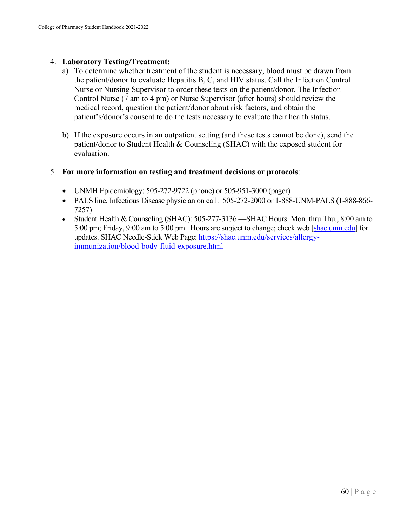#### 4. **Laboratory Testing/Treatment:**

- a) To determine whether treatment of the student is necessary, blood must be drawn from the patient/donor to evaluate Hepatitis B, C, and HIV status. Call the Infection Control Nurse or Nursing Supervisor to order these tests on the patient/donor. The Infection Control Nurse (7 am to 4 pm) or Nurse Supervisor (after hours) should review the medical record, question the patient/donor about risk factors, and obtain the patient's/donor's consent to do the tests necessary to evaluate their health status.
- b) If the exposure occurs in an outpatient setting (and these tests cannot be done), send the patient/donor to Student Health & Counseling (SHAC) with the exposed student for evaluation.

#### 5. **For more information on testing and treatment decisions or protocols**:

- UNMH Epidemiology: 505-272-9722 (phone) or 505-951-3000 (pager)
- PALS line, Infectious Disease physician on call: 505-272-2000 or 1-888-UNM-PALS (1-888-866-7257)
- Student Health & Counseling (SHAC): 505-277-3136 SHAC Hours: Mon. thru Thu., 8:00 am to 5:00 pm; Friday, 9:00 am to 5:00 pm. Hours are subject to change; check web [\[shac.unm.edu\]](http://shac.unm.edu/) for updates. SHAC Needle-Stick Web Page: [https://shac.unm.edu/services/allergy](https://shac.unm.edu/services/allergy-immunization/blood-body-fluid-exposure.html)[immunization/blood-body-fluid-exposure.html](https://shac.unm.edu/services/allergy-immunization/blood-body-fluid-exposure.html)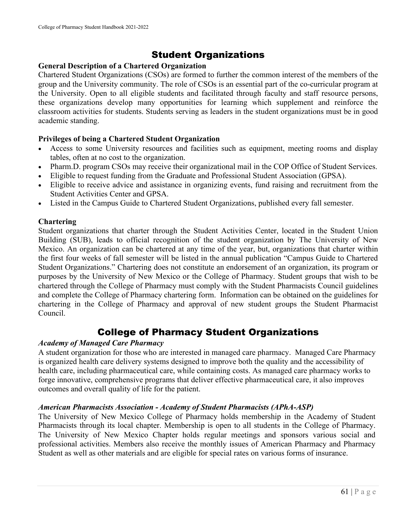# Student Organizations

# **General Description of a Chartered Organization**

Chartered Student Organizations (CSOs) are formed to further the common interest of the members of the group and the University community. The role of CSOs is an essential part of the co-curricular program at the University. Open to all eligible students and facilitated through faculty and staff resource persons, these organizations develop many opportunities for learning which supplement and reinforce the classroom activities for students. Students serving as leaders in the student organizations must be in good academic standing.

### **Privileges of being a Chartered Student Organization**

- Access to some University resources and facilities such as equipment, meeting rooms and display tables, often at no cost to the organization.
- Pharm.D. program CSOs may receive their organizational mail in the COP Office of Student Services.
- Eligible to request funding from the Graduate and Professional Student Association (GPSA).
- Eligible to receive advice and assistance in organizing events, fund raising and recruitment from the Student Activities Center and GPSA.
- Listed in the Campus Guide to Chartered Student Organizations, published every fall semester.

### **Chartering**

Student organizations that charter through the Student Activities Center, located in the Student Union Building (SUB), leads to official recognition of the student organization by The University of New Mexico. An organization can be chartered at any time of the year, but, organizations that charter within the first four weeks of fall semester will be listed in the annual publication "Campus Guide to Chartered Student Organizations." Chartering does not constitute an endorsement of an organization, its program or purposes by the University of New Mexico or the College of Pharmacy. Student groups that wish to be chartered through the College of Pharmacy must comply with the Student Pharmacists Council guidelines and complete the College of Pharmacy chartering form. Information can be obtained on the guidelines for chartering in the College of Pharmacy and approval of new student groups the Student Pharmacist Council.

# College of Pharmacy Student Organizations

### *Academy of Managed Care Pharmacy*

A student organization for those who are interested in managed care pharmacy. Managed Care Pharmacy is organized health care delivery systems designed to improve both the quality and the accessibility of health care, including pharmaceutical care, while containing costs. As managed care pharmacy works to forge innovative, comprehensive programs that deliver effective pharmaceutical care, it also improves outcomes and overall quality of life for the patient.

### *American Pharmacists Association - Academy of Student Pharmacists (APhA-ASP)*

The University of New Mexico College of Pharmacy holds membership in the Academy of Student Pharmacists through its local chapter. Membership is open to all students in the College of Pharmacy. The University of New Mexico Chapter holds regular meetings and sponsors various social and professional activities. Members also receive the monthly issues of American Pharmacy and Pharmacy Student as well as other materials and are eligible for special rates on various forms of insurance.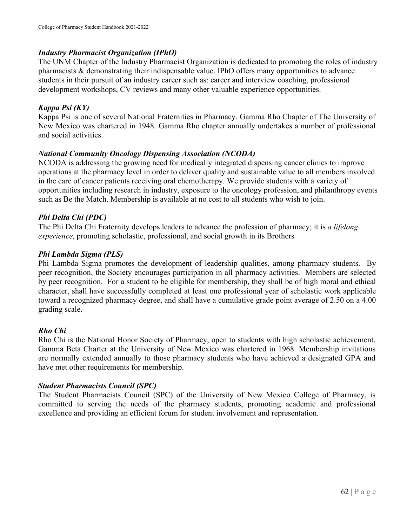#### *Industry Pharmacist Organization (IPhO)*

The UNM Chapter of the Industry Pharmacist Organization is dedicated to promoting the roles of industry pharmacists & demonstrating their indispensable value. IPhO offers many opportunities to advance students in their pursuit of an industry career such as: career and interview coaching, professional development workshops, CV reviews and many other valuable experience opportunities.

#### *Kappa Psi (KY)*

Kappa Psi is one of several National Fraternities in Pharmacy. Gamma Rho Chapter of The University of New Mexico was chartered in 1948. Gamma Rho chapter annually undertakes a number of professional and social activities.

### *National Community Oncology Dispensing Association (NCODA)*

NCODA is addressing the growing need for medically integrated dispensing cancer clinics to improve operations at the pharmacy level in order to deliver quality and sustainable value to all members involved in the care of cancer patients receiving oral chemotherapy. We provide students with a variety of opportunities including research in industry, exposure to the oncology profession, and philanthropy events such as Be the Match. Membership is available at no cost to all students who wish to join.

#### *Phi Delta Chi (PDC)*

The Phi Delta Chi Fraternity develops leaders to advance the profession of pharmacy; it is *a lifelong experience*, promoting scholastic, professional, and social growth in its Brothers

#### *Phi Lambda Sigma (PLS)*

Phi Lambda Sigma promotes the development of leadership qualities, among pharmacy students. By peer recognition, the Society encourages participation in all pharmacy activities. Members are selected by peer recognition. For a student to be eligible for membership, they shall be of high moral and ethical character, shall have successfully completed at least one professional year of scholastic work applicable toward a recognized pharmacy degree, and shall have a cumulative grade point average of 2.50 on a 4.00 grading scale.

#### *Rho Chi*

Rho Chi is the National Honor Society of Pharmacy, open to students with high scholastic achievement. Gamma Beta Charter at the University of New Mexico was chartered in 1968. Membership invitations are normally extended annually to those pharmacy students who have achieved a designated GPA and have met other requirements for membership.

#### *Student Pharmacists Council (SPC)*

The Student Pharmacists Council (SPC) of the University of New Mexico College of Pharmacy, is committed to serving the needs of the pharmacy students, promoting academic and professional excellence and providing an efficient forum for student involvement and representation.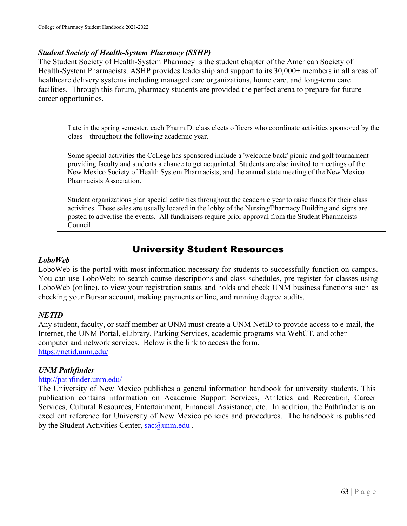### *Student Society of Health-System Pharmacy (SSHP)*

The Student Society of Health-System Pharmacy is the student chapter of the American Society of Health-System Pharmacists. ASHP provides leadership and support to its 30,000+ members in all areas of healthcare delivery systems including managed care organizations, home care, and long-term care facilities. Through this forum, pharmacy students are provided the perfect arena to prepare for future career opportunities.

Late in the spring semester, each Pharm.D. class elects officers who coordinate activities sponsored by the class throughout the following academic year.

Some special activities the College has sponsored include a 'welcome back' picnic and golf tournament providing faculty and students a chance to get acquainted. Students are also invited to meetings of the New Mexico Society of Health System Pharmacists, and the annual state meeting of the New Mexico Pharmacists Association.

Student organizations plan special activities throughout the academic year to raise funds for their class activities. These sales are usually located in the lobby of the Nursing/Pharmacy Building and signs are posted to advertise the events. All fundraisers require prior approval from the Student Pharmacists Council.

# University Student Resources

#### *LoboWeb*

LoboWeb is the portal with most information necessary for students to successfully function on campus. You can use LoboWeb: to search course descriptions and class schedules, pre-register for classes using LoboWeb (online), to view your registration status and holds and check UNM business functions such as checking your Bursar account, making payments online, and running degree audits.

# *NETID*

Any student, faculty, or staff member at UNM must create a UNM NetID to provide access to e-mail, the Internet, the UNM Portal, eLibrary, Parking Services, academic programs via WebCT, and other computer and network services. Below is the link to access the form. <https://netid.unm.edu/>

### *UNM Pathfinder*

### <http://pathfinder.unm.edu/>

The University of New Mexico publishes a general information handbook for university students. This publication contains information on Academic Support Services, Athletics and Recreation, Career Services, Cultural Resources, Entertainment, Financial Assistance, etc. In addition, the Pathfinder is an excellent reference for University of New Mexico policies and procedures. The handbook is published by the Student Activities Center, [sac@unm.edu](mailto:sac@unm.edu).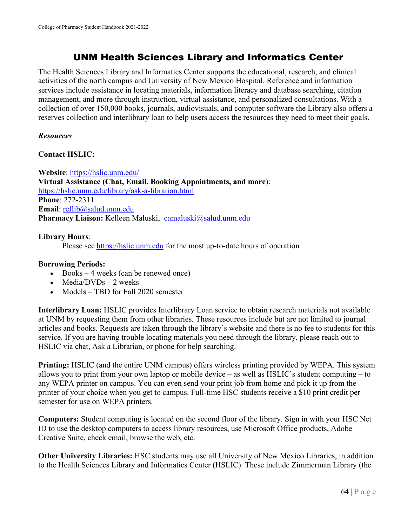# UNM Health Sciences Library and Informatics Center

The Health Sciences Library and Informatics Center supports the educational, research, and clinical activities of the north campus and University of New Mexico Hospital. Reference and information services include assistance in locating materials, information literacy and database searching, citation management, and more through instruction, virtual assistance, and personalized consultations. With a collection of over 150,000 books, journals, audiovisuals, and computer software the Library also offers a reserves collection and interlibrary loan to help users access the resources they need to meet their goals.

### *Resources*

### **Contact HSLIC:**

**Website**:<https://hslic.unm.edu/> **Virtual Assistance (Chat, Email, Booking Appointments, and more**): <https://hslic.unm.edu/library/ask-a-librarian.html> **Phone**: 272-2311 **Email**: [reflib@salud.unm.edu](mailto:reflib@salud.unm.edu) **Pharmacy Liaison:** Kelleen Maluski, [camaluski@salud.unm.edu](mailto:smorley@salud.unm.edu)

#### **Library Hours**:

Please see [https://hslic.unm.edu](https://hslic.unm.edu/) for the most up-to-date hours of operation

#### **Borrowing Periods:**

- Books 4 weeks (can be renewed once)
- Media/ $DVDs 2$  weeks
- Models TBD for Fall 2020 semester

**Interlibrary Loan:** HSLIC provides Interlibrary Loan service to obtain research materials not available at UNM by requesting them from other libraries. These resources include but are not limited to journal articles and books. Requests are taken through the library's website and there is no fee to students for this service. If you are having trouble locating materials you need through the library, please reach out to HSLIC via chat, Ask a Librarian, or phone for help searching.

**Printing:** HSLIC (and the entire UNM campus) offers wireless printing provided by WEPA. This system allows you to print from your own laptop or mobile device – as well as HSLIC's student computing – to any WEPA printer on campus. You can even send your print job from home and pick it up from the printer of your choice when you get to campus. Full-time HSC students receive a \$10 print credit per semester for use on WEPA printers.

**Computers:** Student computing is located on the second floor of the library. Sign in with your HSC Net ID to use the desktop computers to access library resources, use Microsoft Office products, Adobe Creative Suite, check email, browse the web, etc.

**Other University Libraries:** HSC students may use all University of New Mexico Libraries, in addition to the Health Sciences Library and Informatics Center (HSLIC). These include Zimmerman Library (the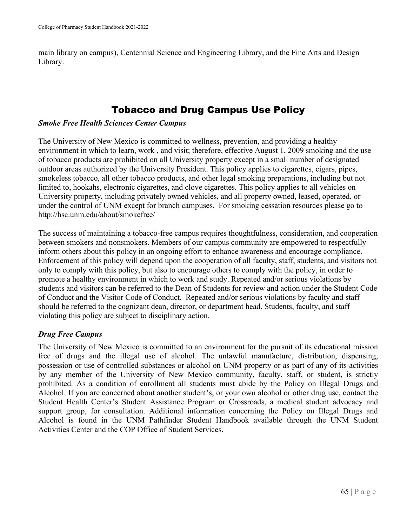main library on campus), Centennial Science and Engineering Library, and the Fine Arts and Design Library.

# Tobacco and Drug Campus Use Policy

### *Smoke Free Health Sciences Center Campus*

The University of New Mexico is committed to wellness, prevention, and providing a healthy environment in which to learn, work , and visit; therefore, effective August 1, 2009 smoking and the use of tobacco products are prohibited on all University property except in a small number of designated outdoor areas authorized by the University President. This policy applies to cigarettes, cigars, pipes, smokeless tobacco, all other tobacco products, and other legal smoking preparations, including but not limited to, hookahs, electronic cigarettes, and clove cigarettes. This policy applies to all vehicles on University property, including privately owned vehicles, and all property owned, leased, operated, or under the control of UNM except for branch campuses. For smoking cessation resources please go to http://hsc.unm.edu/about/smokefree/

The success of maintaining a tobacco-free campus requires thoughtfulness, consideration, and cooperation between smokers and nonsmokers. Members of our campus community are empowered to respectfully inform others about this policy in an ongoing effort to enhance awareness and encourage compliance. Enforcement of this policy will depend upon the cooperation of all faculty, staff, students, and visitors not only to comply with this policy, but also to encourage others to comply with the policy, in order to promote a healthy environment in which to work and study. Repeated and/or serious violations by students and visitors can be referred to the Dean of Students for review and action under the Student Code of Conduct and the Visitor Code of Conduct. Repeated and/or serious violations by faculty and staff should be referred to the cognizant dean, director, or department head. Students, faculty, and staff violating this policy are subject to disciplinary action.

# *Drug Free Campus*

The University of New Mexico is committed to an environment for the pursuit of its educational mission free of drugs and the illegal use of alcohol. The unlawful manufacture, distribution, dispensing, possession or use of controlled substances or alcohol on UNM property or as part of any of its activities by any member of the University of New Mexico community, faculty, staff, or student, is strictly prohibited. As a condition of enrollment all students must abide by the Policy on Illegal Drugs and Alcohol. If you are concerned about another student's, or your own alcohol or other drug use, contact the Student Health Center's Student Assistance Program or Crossroads, a medical student advocacy and support group, for consultation. Additional information concerning the Policy on Illegal Drugs and Alcohol is found in the UNM Pathfinder Student Handbook available through the UNM Student Activities Center and the COP Office of Student Services.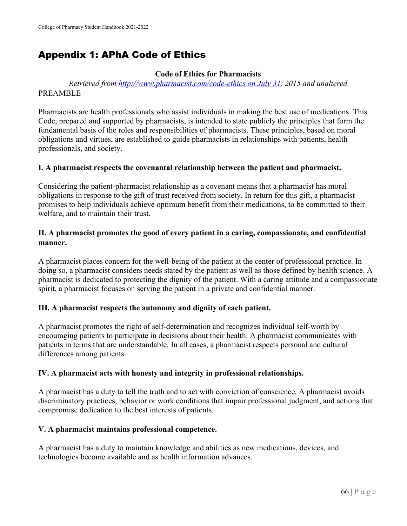# Appendix 1: APhA Code of Ethics

#### **Code of Ethics for Pharmacists**

*Retrieved from [http://www.pharmacist.com/code-ethics](http://www.pharmacist.com/code-ethics%20on%20July%2031) on July 31, 2015 and unaltered* PREAMBLE

Pharmacists are health professionals who assist individuals in making the best use of medications. This Code, prepared and supported by pharmacists, is intended to state publicly the principles that form the fundamental basis of the roles and responsibilities of pharmacists. These principles, based on moral obligations and virtues, are established to guide pharmacists in relationships with patients, health professionals, and society.

#### **I. A pharmacist respects the covenantal relationship between the patient and pharmacist.**

Considering the patient-pharmacist relationship as a covenant means that a pharmacist has moral obligations in response to the gift of trust received from society. In return for this gift, a pharmacist promises to help individuals achieve optimum benefit from their medications, to be committed to their welfare, and to maintain their trust.

### **II. A pharmacist promotes the good of every patient in a caring, compassionate, and confidential manner.**

A pharmacist places concern for the well-being of the patient at the center of professional practice. In doing so, a pharmacist considers needs stated by the patient as well as those defined by health science. A pharmacist is dedicated to protecting the dignity of the patient. With a caring attitude and a compassionate spirit, a pharmacist focuses on serving the patient in a private and confidential manner.

#### **III. A pharmacist respects the autonomy and dignity of each patient.**

A pharmacist promotes the right of self-determination and recognizes individual self-worth by encouraging patients to participate in decisions about their health. A pharmacist communicates with patients in terms that are understandable. In all cases, a pharmacist respects personal and cultural differences among patients.

#### **IV. A pharmacist acts with honesty and integrity in professional relationships.**

A pharmacist has a duty to tell the truth and to act with conviction of conscience. A pharmacist avoids discriminatory practices, behavior or work conditions that impair professional judgment, and actions that compromise dedication to the best interests of patients.

#### **V. A pharmacist maintains professional competence.**

A pharmacist has a duty to maintain knowledge and abilities as new medications, devices, and technologies become available and as health information advances.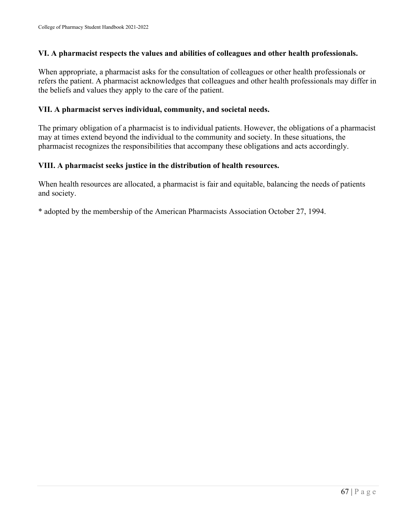#### **VI. A pharmacist respects the values and abilities of colleagues and other health professionals.**

When appropriate, a pharmacist asks for the consultation of colleagues or other health professionals or refers the patient. A pharmacist acknowledges that colleagues and other health professionals may differ in the beliefs and values they apply to the care of the patient.

#### **VII. A pharmacist serves individual, community, and societal needs.**

The primary obligation of a pharmacist is to individual patients. However, the obligations of a pharmacist may at times extend beyond the individual to the community and society. In these situations, the pharmacist recognizes the responsibilities that accompany these obligations and acts accordingly.

#### **VIII. A pharmacist seeks justice in the distribution of health resources.**

When health resources are allocated, a pharmacist is fair and equitable, balancing the needs of patients and society.

\* adopted by the membership of the American Pharmacists Association October 27, 1994.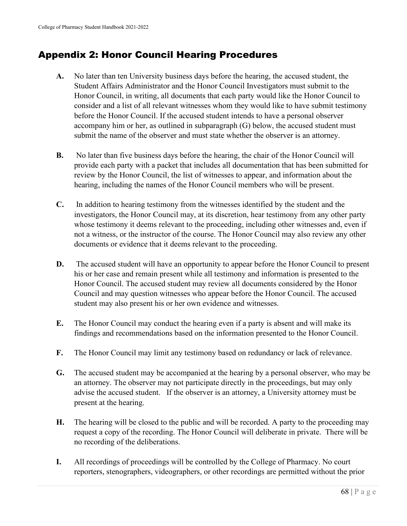# Appendix 2: Honor Council Hearing Procedures

- **A.** No later than ten University business days before the hearing, the accused student, the Student Affairs Administrator and the Honor Council Investigators must submit to the Honor Council, in writing, all documents that each party would like the Honor Council to consider and a list of all relevant witnesses whom they would like to have submit testimony before the Honor Council. If the accused student intends to have a personal observer accompany him or her, as outlined in subparagraph (G) below, the accused student must submit the name of the observer and must state whether the observer is an attorney.
- **B.** No later than five business days before the hearing, the chair of the Honor Council will provide each party with a packet that includes all documentation that has been submitted for review by the Honor Council, the list of witnesses to appear, and information about the hearing, including the names of the Honor Council members who will be present.
- **C.** In addition to hearing testimony from the witnesses identified by the student and the investigators, the Honor Council may, at its discretion, hear testimony from any other party whose testimony it deems relevant to the proceeding, including other witnesses and, even if not a witness, or the instructor of the course. The Honor Council may also review any other documents or evidence that it deems relevant to the proceeding.
- **D.** The accused student will have an opportunity to appear before the Honor Council to present his or her case and remain present while all testimony and information is presented to the Honor Council. The accused student may review all documents considered by the Honor Council and may question witnesses who appear before the Honor Council. The accused student may also present his or her own evidence and witnesses.
- **E.** The Honor Council may conduct the hearing even if a party is absent and will make its findings and recommendations based on the information presented to the Honor Council.
- **F.** The Honor Council may limit any testimony based on redundancy or lack of relevance.
- **G.** The accused student may be accompanied at the hearing by a personal observer, who may be an attorney. The observer may not participate directly in the proceedings, but may only advise the accused student. If the observer is an attorney, a University attorney must be present at the hearing.
- **H.** The hearing will be closed to the public and will be recorded. A party to the proceeding may request a copy of the recording. The Honor Council will deliberate in private. There will be no recording of the deliberations.
- **I.** All recordings of proceedings will be controlled by the College of Pharmacy. No court reporters, stenographers, videographers, or other recordings are permitted without the prior